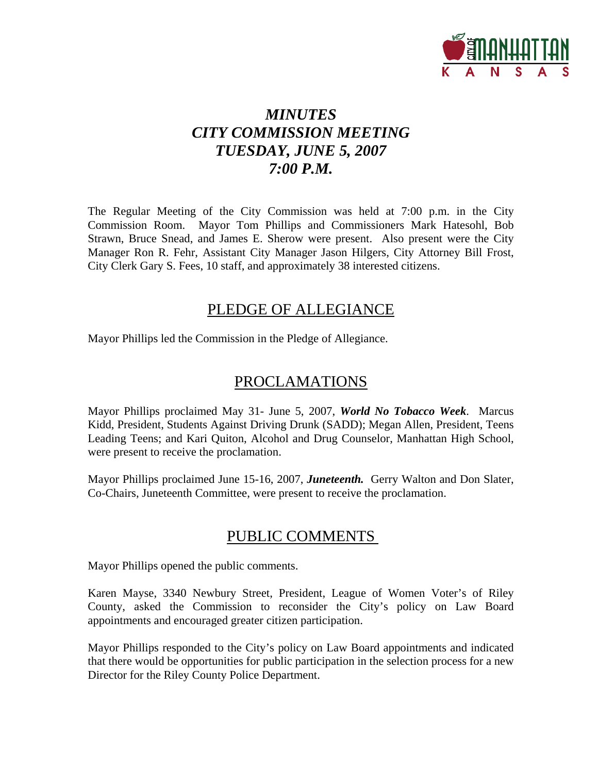

# *MINUTES CITY COMMISSION MEETING TUESDAY, JUNE 5, 2007 7:00 P.M.*

The Regular Meeting of the City Commission was held at 7:00 p.m. in the City Commission Room. Mayor Tom Phillips and Commissioners Mark Hatesohl, Bob Strawn, Bruce Snead, and James E. Sherow were present. Also present were the City Manager Ron R. Fehr, Assistant City Manager Jason Hilgers, City Attorney Bill Frost, City Clerk Gary S. Fees, 10 staff, and approximately 38 interested citizens.

# PLEDGE OF ALLEGIANCE

Mayor Phillips led the Commission in the Pledge of Allegiance.

# PROCLAMATIONS

Mayor Phillips proclaimed May 31- June 5, 2007, *World No Tobacco Week*. Marcus Kidd, President, Students Against Driving Drunk (SADD); Megan Allen, President, Teens Leading Teens; and Kari Quiton, Alcohol and Drug Counselor, Manhattan High School, were present to receive the proclamation.

Mayor Phillips proclaimed June 15-16, 2007, *Juneteenth.* Gerry Walton and Don Slater, Co-Chairs, Juneteenth Committee, were present to receive the proclamation.

# PUBLIC COMMENTS

Mayor Phillips opened the public comments.

Karen Mayse, 3340 Newbury Street, President, League of Women Voter's of Riley County, asked the Commission to reconsider the City's policy on Law Board appointments and encouraged greater citizen participation.

Mayor Phillips responded to the City's policy on Law Board appointments and indicated that there would be opportunities for public participation in the selection process for a new Director for the Riley County Police Department.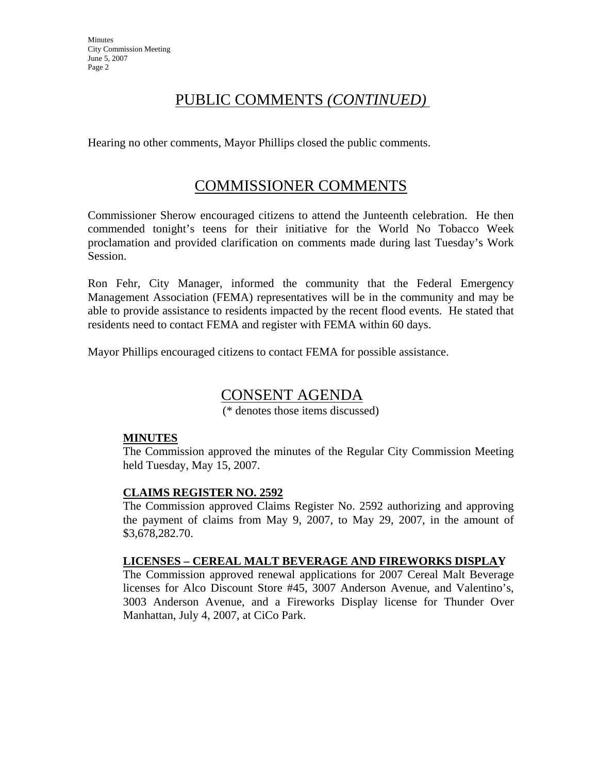**Minutes** City Commission Meeting June 5, 2007 Page 2

# PUBLIC COMMENTS *(CONTINUED)*

Hearing no other comments, Mayor Phillips closed the public comments.

# COMMISSIONER COMMENTS

Commissioner Sherow encouraged citizens to attend the Junteenth celebration. He then commended tonight's teens for their initiative for the World No Tobacco Week proclamation and provided clarification on comments made during last Tuesday's Work Session.

Ron Fehr, City Manager, informed the community that the Federal Emergency Management Association (FEMA) representatives will be in the community and may be able to provide assistance to residents impacted by the recent flood events. He stated that residents need to contact FEMA and register with FEMA within 60 days.

Mayor Phillips encouraged citizens to contact FEMA for possible assistance.

# CONSENT AGENDA

(\* denotes those items discussed)

### **MINUTES**

The Commission approved the minutes of the Regular City Commission Meeting held Tuesday, May 15, 2007.

### **CLAIMS REGISTER NO. 2592**

The Commission approved Claims Register No. 2592 authorizing and approving the payment of claims from May 9, 2007, to May 29, 2007, in the amount of \$3,678,282.70.

### **LICENSES – CEREAL MALT BEVERAGE AND FIREWORKS DISPLAY**

The Commission approved renewal applications for 2007 Cereal Malt Beverage licenses for Alco Discount Store #45, 3007 Anderson Avenue, and Valentino's, 3003 Anderson Avenue, and a Fireworks Display license for Thunder Over Manhattan, July 4, 2007, at CiCo Park.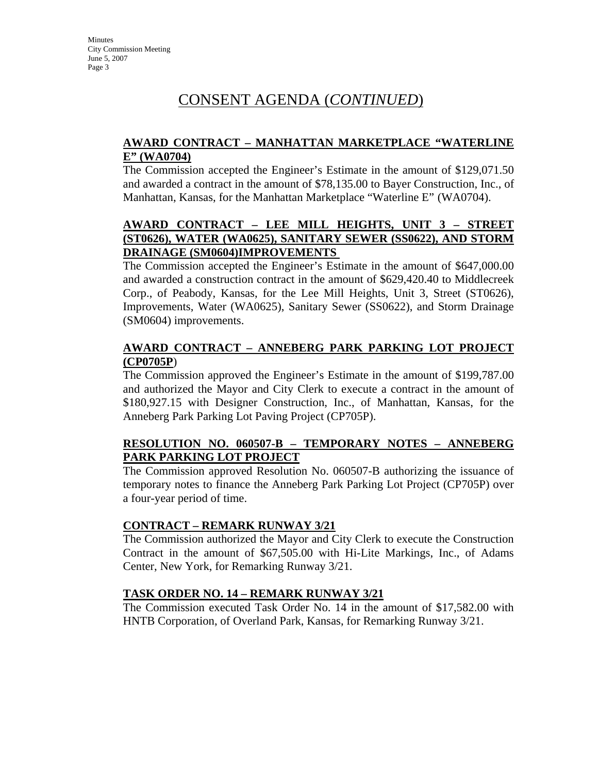# CONSENT AGENDA (*CONTINUED*)

# **AWARD CONTRACT – MANHATTAN MARKETPLACE "WATERLINE E" (WA0704)**

The Commission accepted the Engineer's Estimate in the amount of \$129,071.50 and awarded a contract in the amount of \$78,135.00 to Bayer Construction, Inc., of Manhattan, Kansas, for the Manhattan Marketplace "Waterline E" (WA0704).

# **AWARD CONTRACT – LEE MILL HEIGHTS, UNIT 3 – STREET (ST0626), WATER (WA0625), SANITARY SEWER (SS0622), AND STORM DRAINAGE (SM0604)IMPROVEMENTS**

The Commission accepted the Engineer's Estimate in the amount of \$647,000.00 and awarded a construction contract in the amount of \$629,420.40 to Middlecreek Corp., of Peabody, Kansas, for the Lee Mill Heights, Unit 3, Street (ST0626), Improvements, Water (WA0625), Sanitary Sewer (SS0622), and Storm Drainage (SM0604) improvements.

# **AWARD CONTRACT – ANNEBERG PARK PARKING LOT PROJECT (CP0705P**)

The Commission approved the Engineer's Estimate in the amount of \$199,787.00 and authorized the Mayor and City Clerk to execute a contract in the amount of \$180,927.15 with Designer Construction, Inc., of Manhattan, Kansas, for the Anneberg Park Parking Lot Paving Project (CP705P).

# **RESOLUTION NO. 060507-B – TEMPORARY NOTES – ANNEBERG PARK PARKING LOT PROJECT**

The Commission approved Resolution No. 060507-B authorizing the issuance of temporary notes to finance the Anneberg Park Parking Lot Project (CP705P) over a four-year period of time.

### **CONTRACT – REMARK RUNWAY 3/21**

The Commission authorized the Mayor and City Clerk to execute the Construction Contract in the amount of \$67,505.00 with Hi-Lite Markings, Inc., of Adams Center, New York, for Remarking Runway 3/21.

# **TASK ORDER NO. 14 – REMARK RUNWAY 3/21**

The Commission executed Task Order No. 14 in the amount of \$17,582.00 with HNTB Corporation, of Overland Park, Kansas, for Remarking Runway 3/21.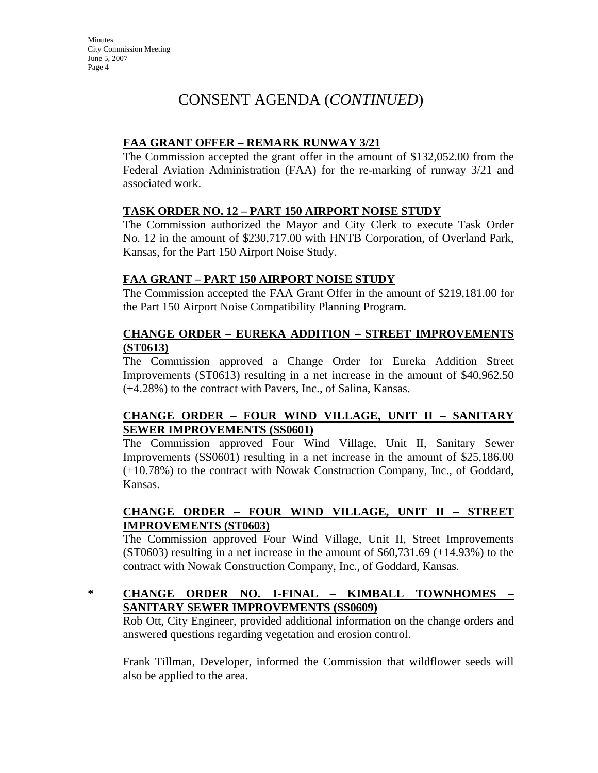**Minutes** City Commission Meeting June 5, 2007 Page 4

# CONSENT AGENDA (*CONTINUED*)

# **FAA GRANT OFFER – REMARK RUNWAY 3/21**

The Commission accepted the grant offer in the amount of \$132,052.00 from the Federal Aviation Administration (FAA) for the re-marking of runway 3/21 and associated work.

### **TASK ORDER NO. 12 – PART 150 AIRPORT NOISE STUDY**

The Commission authorized the Mayor and City Clerk to execute Task Order No. 12 in the amount of \$230,717.00 with HNTB Corporation, of Overland Park, Kansas, for the Part 150 Airport Noise Study.

### **FAA GRANT – PART 150 AIRPORT NOISE STUDY**

The Commission accepted the FAA Grant Offer in the amount of \$219,181.00 for the Part 150 Airport Noise Compatibility Planning Program.

### **CHANGE ORDER – EUREKA ADDITION – STREET IMPROVEMENTS (ST0613)**

The Commission approved a Change Order for Eureka Addition Street Improvements (ST0613) resulting in a net increase in the amount of \$40,962.50 (+4.28%) to the contract with Pavers, Inc., of Salina, Kansas.

# **CHANGE ORDER – FOUR WIND VILLAGE, UNIT II – SANITARY SEWER IMPROVEMENTS (SS0601)**

The Commission approved Four Wind Village, Unit II, Sanitary Sewer Improvements (SS0601) resulting in a net increase in the amount of \$25,186.00 (+10.78%) to the contract with Nowak Construction Company, Inc., of Goddard, Kansas.

# **CHANGE ORDER – FOUR WIND VILLAGE, UNIT II – STREET IMPROVEMENTS (ST0603)**

The Commission approved Four Wind Village, Unit II, Street Improvements  $(ST0603)$  resulting in a net increase in the amount of \$60,731.69 (+14.93%) to the contract with Nowak Construction Company, Inc., of Goddard, Kansas.

# **\* CHANGE ORDER NO. 1-FINAL – KIMBALL TOWNHOMES – SANITARY SEWER IMPROVEMENTS (SS0609)**

Rob Ott, City Engineer, provided additional information on the change orders and answered questions regarding vegetation and erosion control.

Frank Tillman, Developer, informed the Commission that wildflower seeds will also be applied to the area.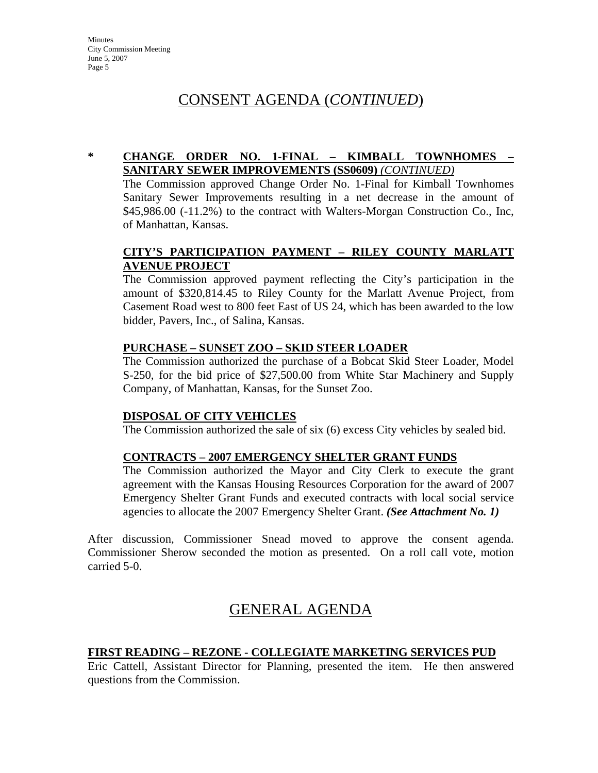# CONSENT AGENDA (*CONTINUED*)

### **\* CHANGE ORDER NO. 1-FINAL – KIMBALL TOWNHOMES – SANITARY SEWER IMPROVEMENTS (SS0609)** *(CONTINUED)*

The Commission approved Change Order No. 1-Final for Kimball Townhomes Sanitary Sewer Improvements resulting in a net decrease in the amount of \$45,986.00 (-11.2%) to the contract with Walters-Morgan Construction Co., Inc, of Manhattan, Kansas.

# **CITY'S PARTICIPATION PAYMENT – RILEY COUNTY MARLATT AVENUE PROJECT**

The Commission approved payment reflecting the City's participation in the amount of \$320,814.45 to Riley County for the Marlatt Avenue Project, from Casement Road west to 800 feet East of US 24, which has been awarded to the low bidder, Pavers, Inc., of Salina, Kansas.

### **PURCHASE – SUNSET ZOO – SKID STEER LOADER**

The Commission authorized the purchase of a Bobcat Skid Steer Loader, Model S-250, for the bid price of \$27,500.00 from White Star Machinery and Supply Company, of Manhattan, Kansas, for the Sunset Zoo.

### **DISPOSAL OF CITY VEHICLES**

The Commission authorized the sale of six (6) excess City vehicles by sealed bid.

### **CONTRACTS – 2007 EMERGENCY SHELTER GRANT FUNDS**

The Commission authorized the Mayor and City Clerk to execute the grant agreement with the Kansas Housing Resources Corporation for the award of 2007 Emergency Shelter Grant Funds and executed contracts with local social service agencies to allocate the 2007 Emergency Shelter Grant. *(See Attachment No. 1)*

After discussion, Commissioner Snead moved to approve the consent agenda. Commissioner Sherow seconded the motion as presented. On a roll call vote, motion carried 5-0.

# GENERAL AGENDA

### **FIRST READING – REZONE - COLLEGIATE MARKETING SERVICES PUD**

Eric Cattell, Assistant Director for Planning, presented the item. He then answered questions from the Commission.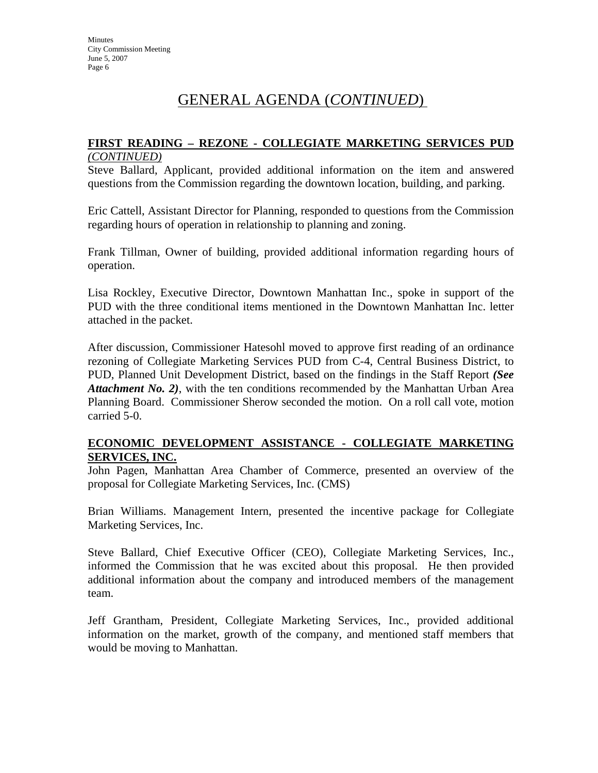#### **FIRST READING – REZONE - COLLEGIATE MARKETING SERVICES PUD** *(CONTINUED)*

Steve Ballard, Applicant, provided additional information on the item and answered questions from the Commission regarding the downtown location, building, and parking.

Eric Cattell, Assistant Director for Planning, responded to questions from the Commission regarding hours of operation in relationship to planning and zoning.

Frank Tillman, Owner of building, provided additional information regarding hours of operation.

Lisa Rockley, Executive Director, Downtown Manhattan Inc., spoke in support of the PUD with the three conditional items mentioned in the Downtown Manhattan Inc. letter attached in the packet.

After discussion, Commissioner Hatesohl moved to approve first reading of an ordinance rezoning of Collegiate Marketing Services PUD from C-4, Central Business District, to PUD, Planned Unit Development District, based on the findings in the Staff Report *(See Attachment No. 2)*, with the ten conditions recommended by the Manhattan Urban Area Planning Board. Commissioner Sherow seconded the motion. On a roll call vote, motion carried 5-0.

### **ECONOMIC DEVELOPMENT ASSISTANCE - COLLEGIATE MARKETING SERVICES, INC.**

John Pagen, Manhattan Area Chamber of Commerce, presented an overview of the proposal for Collegiate Marketing Services, Inc. (CMS)

Brian Williams. Management Intern, presented the incentive package for Collegiate Marketing Services, Inc.

Steve Ballard, Chief Executive Officer (CEO), Collegiate Marketing Services, Inc., informed the Commission that he was excited about this proposal. He then provided additional information about the company and introduced members of the management team.

Jeff Grantham, President, Collegiate Marketing Services, Inc., provided additional information on the market, growth of the company, and mentioned staff members that would be moving to Manhattan.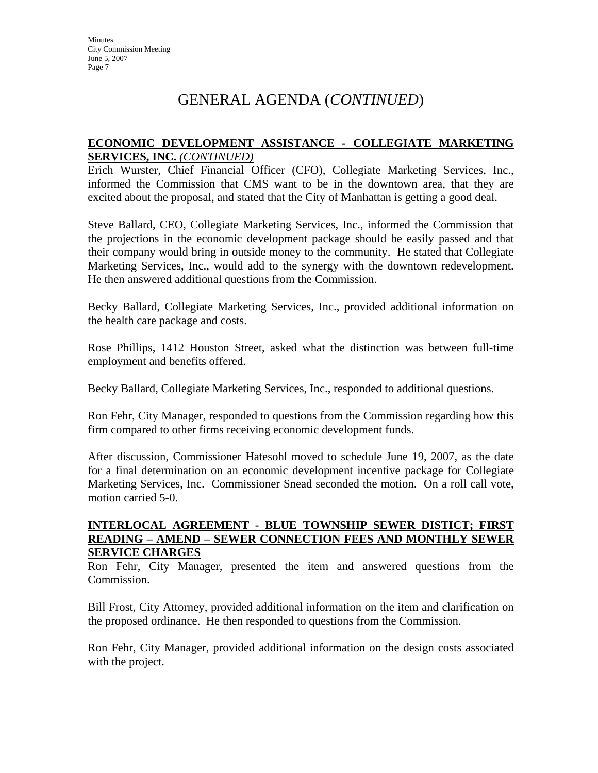### **ECONOMIC DEVELOPMENT ASSISTANCE - COLLEGIATE MARKETING SERVICES, INC.** *(CONTINUED)*

Erich Wurster, Chief Financial Officer (CFO), Collegiate Marketing Services, Inc., informed the Commission that CMS want to be in the downtown area, that they are excited about the proposal, and stated that the City of Manhattan is getting a good deal.

Steve Ballard, CEO, Collegiate Marketing Services, Inc., informed the Commission that the projections in the economic development package should be easily passed and that their company would bring in outside money to the community. He stated that Collegiate Marketing Services, Inc., would add to the synergy with the downtown redevelopment. He then answered additional questions from the Commission.

Becky Ballard, Collegiate Marketing Services, Inc., provided additional information on the health care package and costs.

Rose Phillips, 1412 Houston Street, asked what the distinction was between full-time employment and benefits offered.

Becky Ballard, Collegiate Marketing Services, Inc., responded to additional questions.

Ron Fehr, City Manager, responded to questions from the Commission regarding how this firm compared to other firms receiving economic development funds.

After discussion, Commissioner Hatesohl moved to schedule June 19, 2007, as the date for a final determination on an economic development incentive package for Collegiate Marketing Services, Inc. Commissioner Snead seconded the motion. On a roll call vote, motion carried 5-0.

#### **INTERLOCAL AGREEMENT - BLUE TOWNSHIP SEWER DISTICT; FIRST READING – AMEND – SEWER CONNECTION FEES AND MONTHLY SEWER SERVICE CHARGES**

Ron Fehr, City Manager, presented the item and answered questions from the Commission.

Bill Frost, City Attorney, provided additional information on the item and clarification on the proposed ordinance. He then responded to questions from the Commission.

Ron Fehr, City Manager, provided additional information on the design costs associated with the project.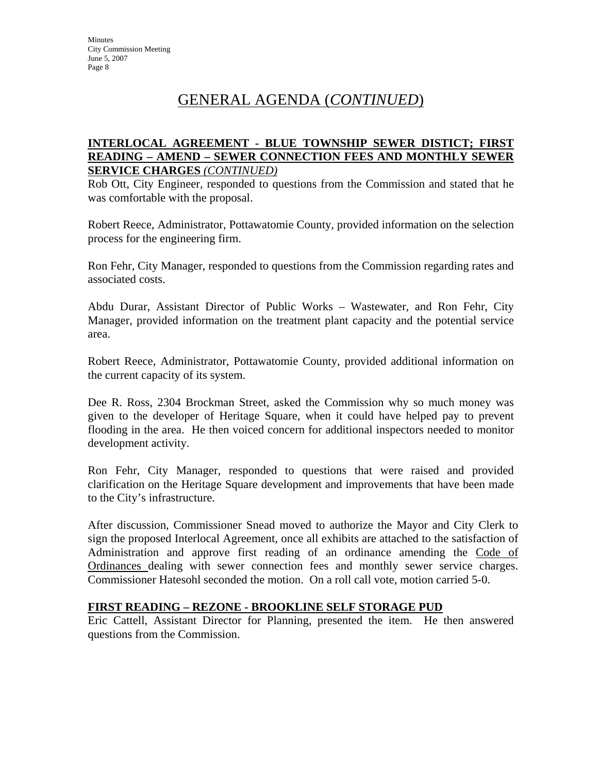#### **INTERLOCAL AGREEMENT - BLUE TOWNSHIP SEWER DISTICT; FIRST READING – AMEND – SEWER CONNECTION FEES AND MONTHLY SEWER SERVICE CHARGES** *(CONTINUED)*

Rob Ott, City Engineer, responded to questions from the Commission and stated that he was comfortable with the proposal.

Robert Reece, Administrator, Pottawatomie County, provided information on the selection process for the engineering firm.

Ron Fehr, City Manager, responded to questions from the Commission regarding rates and associated costs.

Abdu Durar, Assistant Director of Public Works – Wastewater, and Ron Fehr, City Manager, provided information on the treatment plant capacity and the potential service area.

Robert Reece, Administrator, Pottawatomie County, provided additional information on the current capacity of its system.

Dee R. Ross, 2304 Brockman Street, asked the Commission why so much money was given to the developer of Heritage Square, when it could have helped pay to prevent flooding in the area. He then voiced concern for additional inspectors needed to monitor development activity.

Ron Fehr, City Manager, responded to questions that were raised and provided clarification on the Heritage Square development and improvements that have been made to the City's infrastructure.

After discussion, Commissioner Snead moved to authorize the Mayor and City Clerk to sign the proposed Interlocal Agreement, once all exhibits are attached to the satisfaction of Administration and approve first reading of an ordinance amending the Code of Ordinances dealing with sewer connection fees and monthly sewer service charges. Commissioner Hatesohl seconded the motion. On a roll call vote, motion carried 5-0.

### **FIRST READING – REZONE - BROOKLINE SELF STORAGE PUD**

Eric Cattell, Assistant Director for Planning, presented the item. He then answered questions from the Commission.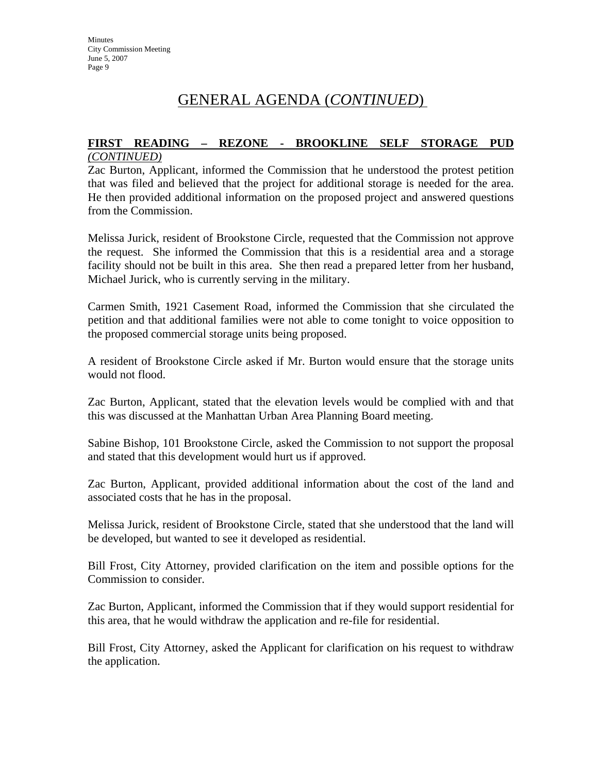#### **FIRST READING – REZONE - BROOKLINE SELF STORAGE PUD** *(CONTINUED)*

Zac Burton, Applicant, informed the Commission that he understood the protest petition that was filed and believed that the project for additional storage is needed for the area. He then provided additional information on the proposed project and answered questions from the Commission.

Melissa Jurick, resident of Brookstone Circle, requested that the Commission not approve the request. She informed the Commission that this is a residential area and a storage facility should not be built in this area. She then read a prepared letter from her husband, Michael Jurick, who is currently serving in the military.

Carmen Smith, 1921 Casement Road, informed the Commission that she circulated the petition and that additional families were not able to come tonight to voice opposition to the proposed commercial storage units being proposed.

A resident of Brookstone Circle asked if Mr. Burton would ensure that the storage units would not flood.

Zac Burton, Applicant, stated that the elevation levels would be complied with and that this was discussed at the Manhattan Urban Area Planning Board meeting.

Sabine Bishop, 101 Brookstone Circle, asked the Commission to not support the proposal and stated that this development would hurt us if approved.

Zac Burton, Applicant, provided additional information about the cost of the land and associated costs that he has in the proposal.

Melissa Jurick, resident of Brookstone Circle, stated that she understood that the land will be developed, but wanted to see it developed as residential.

Bill Frost, City Attorney, provided clarification on the item and possible options for the Commission to consider.

Zac Burton, Applicant, informed the Commission that if they would support residential for this area, that he would withdraw the application and re-file for residential.

Bill Frost, City Attorney, asked the Applicant for clarification on his request to withdraw the application.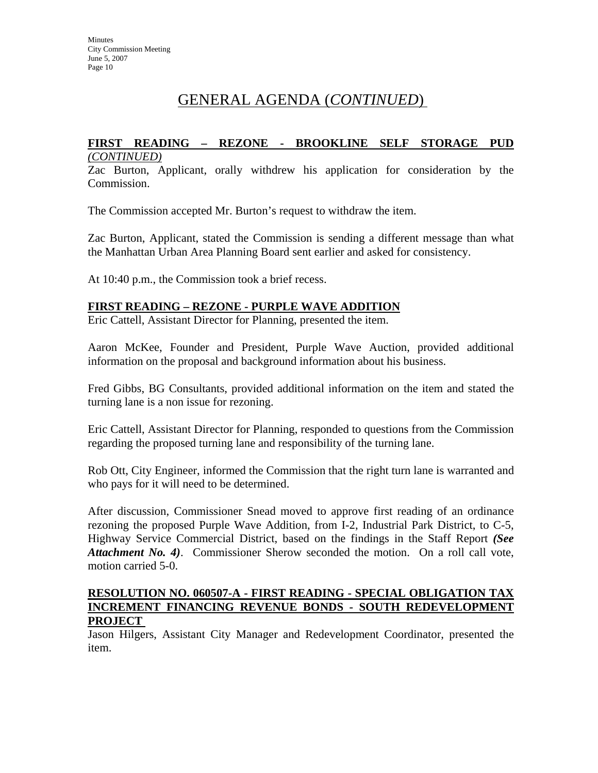### **FIRST READING – REZONE - BROOKLINE SELF STORAGE PUD** *(CONTINUED)*

Zac Burton, Applicant, orally withdrew his application for consideration by the Commission.

The Commission accepted Mr. Burton's request to withdraw the item.

Zac Burton, Applicant, stated the Commission is sending a different message than what the Manhattan Urban Area Planning Board sent earlier and asked for consistency.

At 10:40 p.m., the Commission took a brief recess.

### **FIRST READING – REZONE - PURPLE WAVE ADDITION**

Eric Cattell, Assistant Director for Planning, presented the item.

Aaron McKee, Founder and President, Purple Wave Auction, provided additional information on the proposal and background information about his business.

Fred Gibbs, BG Consultants, provided additional information on the item and stated the turning lane is a non issue for rezoning.

Eric Cattell, Assistant Director for Planning, responded to questions from the Commission regarding the proposed turning lane and responsibility of the turning lane.

Rob Ott, City Engineer, informed the Commission that the right turn lane is warranted and who pays for it will need to be determined.

After discussion, Commissioner Snead moved to approve first reading of an ordinance rezoning the proposed Purple Wave Addition, from I-2, Industrial Park District, to C-5, Highway Service Commercial District, based on the findings in the Staff Report *(See Attachment No. 4)*. Commissioner Sherow seconded the motion. On a roll call vote, motion carried 5-0.

#### **RESOLUTION NO. 060507-A - FIRST READING - SPECIAL OBLIGATION TAX INCREMENT FINANCING REVENUE BONDS - SOUTH REDEVELOPMENT PROJECT**

Jason Hilgers, Assistant City Manager and Redevelopment Coordinator, presented the item.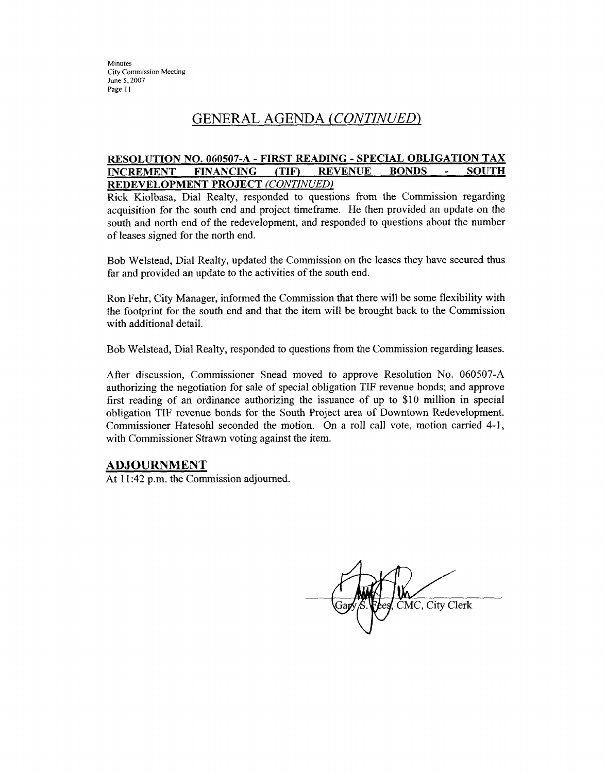**Minutes City Commission Meeting** June 5, 2007 Page 11

# GENERAL AGENDA (CONTINUED)

#### **RESOLUTION NO. 060507-A - FIRST READING - SPECIAL OBLIGATION TAX FINANCING**  $(TIF)$ **REVENUE BONDS SOUTH INCREMENT** REDEVELOPMENT PROJECT (CONTINUED)

Rick Kiolbasa, Dial Realty, responded to questions from the Commission regarding acquisition for the south end and project timeframe. He then provided an update on the south and north end of the redevelopment, and responded to questions about the number of leases signed for the north end.

Bob Welstead, Dial Realty, updated the Commission on the leases they have secured thus far and provided an update to the activities of the south end.

Ron Fehr, City Manager, informed the Commission that there will be some flexibility with the footprint for the south end and that the item will be brought back to the Commission with additional detail.

Bob Welstead, Dial Realty, responded to questions from the Commission regarding leases.

After discussion, Commissioner Snead moved to approve Resolution No. 060507-A authorizing the negotiation for sale of special obligation TIF revenue bonds; and approve first reading of an ordinance authorizing the issuance of up to \$10 million in special obligation TIF revenue bonds for the South Project area of Downtown Redevelopment. Commissioner Hatesohl seconded the motion. On a roll call vote, motion carried 4-1, with Commissioner Strawn voting against the item.

### **ADJOURNMENT**

At 11:42 p.m. the Commission adjourned.

MC, City Clerk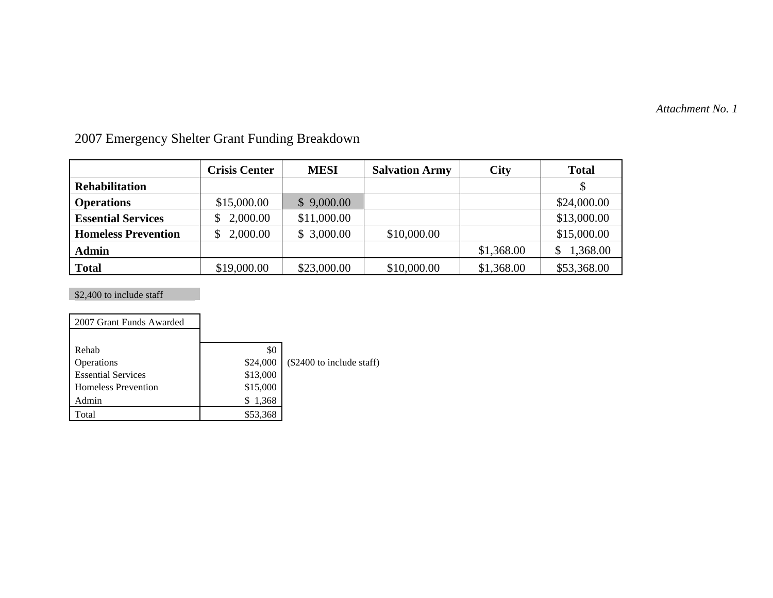*Attachment No. 1*

|                            | <b>Crisis Center</b> | <b>MESI</b> | <b>Salvation Army</b> | City       | <b>Total</b> |
|----------------------------|----------------------|-------------|-----------------------|------------|--------------|
| <b>Rehabilitation</b>      |                      |             |                       |            |              |
| <b>Operations</b>          | \$15,000.00          | \$9,000.00  |                       |            | \$24,000.00  |
| <b>Essential Services</b>  | 2,000.00             | \$11,000.00 |                       |            | \$13,000.00  |
| <b>Homeless Prevention</b> | \$2,000.00           | \$3,000.00  | \$10,000.00           |            | \$15,000.00  |
| <b>Admin</b>               |                      |             |                       | \$1,368.00 | 1,368.00     |
| <b>Total</b>               | \$19,000.00          | \$23,000.00 | \$10,000.00           | \$1,368.00 | \$53,368.00  |

2007 Emergency Shelter Grant Funding Breakdown

\$2,400 to include staff

| 2007 Grant Funds Awarded   |            |                           |
|----------------------------|------------|---------------------------|
|                            |            |                           |
| Rehab                      | \$0        |                           |
| Operations                 | \$24,000   | (\$2400 to include staff) |
| <b>Essential Services</b>  | \$13,000   |                           |
| <b>Homeless Prevention</b> | \$15,000   |                           |
| Admin                      | 1,368<br>S |                           |
| Total                      | \$53.368   |                           |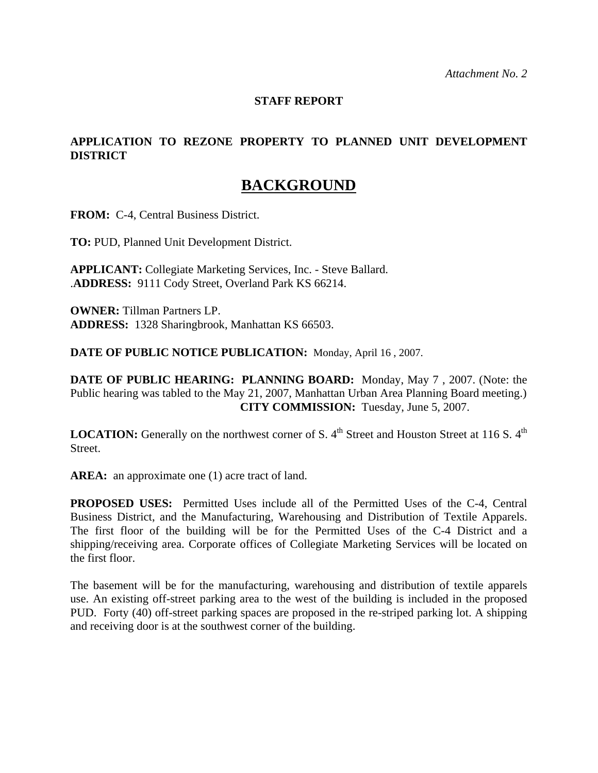#### **STAFF REPORT**

# **APPLICATION TO REZONE PROPERTY TO PLANNED UNIT DEVELOPMENT DISTRICT**

# **BACKGROUND**

**FROM:** C-4, Central Business District.

**TO:** PUD, Planned Unit Development District.

**APPLICANT:** Collegiate Marketing Services, Inc. - Steve Ballard. .**ADDRESS:** 9111 Cody Street, Overland Park KS 66214.

**OWNER:** Tillman Partners LP. **ADDRESS:** 1328 Sharingbrook, Manhattan KS 66503.

**DATE OF PUBLIC NOTICE PUBLICATION:** Monday, April 16 , 2007.

**DATE OF PUBLIC HEARING: PLANNING BOARD:** Monday, May 7 , 2007. (Note: the Public hearing was tabled to the May 21, 2007, Manhattan Urban Area Planning Board meeting.) **CITY COMMISSION:** Tuesday, June 5, 2007.

**LOCATION:** Generally on the northwest corner of S. 4<sup>th</sup> Street and Houston Street at 116 S. 4<sup>th</sup> Street.

AREA: an approximate one (1) acre tract of land.

**PROPOSED USES:** Permitted Uses include all of the Permitted Uses of the C-4, Central Business District, and the Manufacturing, Warehousing and Distribution of Textile Apparels. The first floor of the building will be for the Permitted Uses of the C-4 District and a shipping/receiving area. Corporate offices of Collegiate Marketing Services will be located on the first floor.

The basement will be for the manufacturing, warehousing and distribution of textile apparels use. An existing off-street parking area to the west of the building is included in the proposed PUD. Forty (40) off-street parking spaces are proposed in the re-striped parking lot. A shipping and receiving door is at the southwest corner of the building.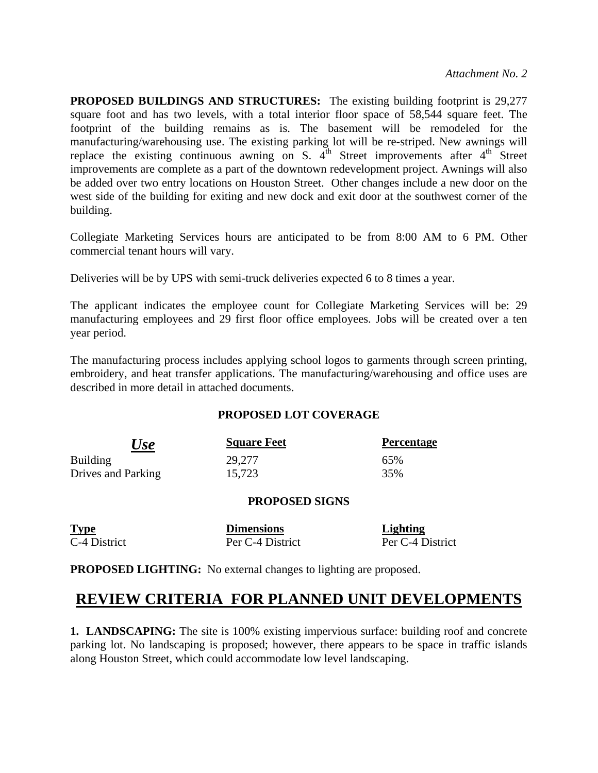**PROPOSED BUILDINGS AND STRUCTURES:** The existing building footprint is 29,277 square foot and has two levels, with a total interior floor space of 58,544 square feet. The footprint of the building remains as is. The basement will be remodeled for the manufacturing/warehousing use. The existing parking lot will be re-striped. New awnings will replace the existing continuous awning on S.  $4<sup>th</sup>$  Street improvements after  $4<sup>th</sup>$  Street improvements are complete as a part of the downtown redevelopment project. Awnings will also be added over two entry locations on Houston Street. Other changes include a new door on the west side of the building for exiting and new dock and exit door at the southwest corner of the building.

Collegiate Marketing Services hours are anticipated to be from 8:00 AM to 6 PM. Other commercial tenant hours will vary.

Deliveries will be by UPS with semi-truck deliveries expected 6 to 8 times a year.

The applicant indicates the employee count for Collegiate Marketing Services will be: 29 manufacturing employees and 29 first floor office employees. Jobs will be created over a ten year period.

The manufacturing process includes applying school logos to garments through screen printing, embroidery, and heat transfer applications. The manufacturing/warehousing and office uses are described in more detail in attached documents.

#### **PROPOSED LOT COVERAGE**

| Use                | <b>Square Feet</b> | <b>Percentage</b> |
|--------------------|--------------------|-------------------|
| <b>Building</b>    | 29,277             | 65%               |
| Drives and Parking | 15,723             | 35%               |

#### **PROPOSED SIGNS**

| <b>Type</b>  | <b>Dimensions</b> | Lighting         |
|--------------|-------------------|------------------|
| C-4 District | Per C-4 District  | Per C-4 District |

**PROPOSED LIGHTING:** No external changes to lighting are proposed.

# **REVIEW CRITERIA FOR PLANNED UNIT DEVELOPMENTS**

**1. LANDSCAPING:** The site is 100% existing impervious surface: building roof and concrete parking lot. No landscaping is proposed; however, there appears to be space in traffic islands along Houston Street, which could accommodate low level landscaping.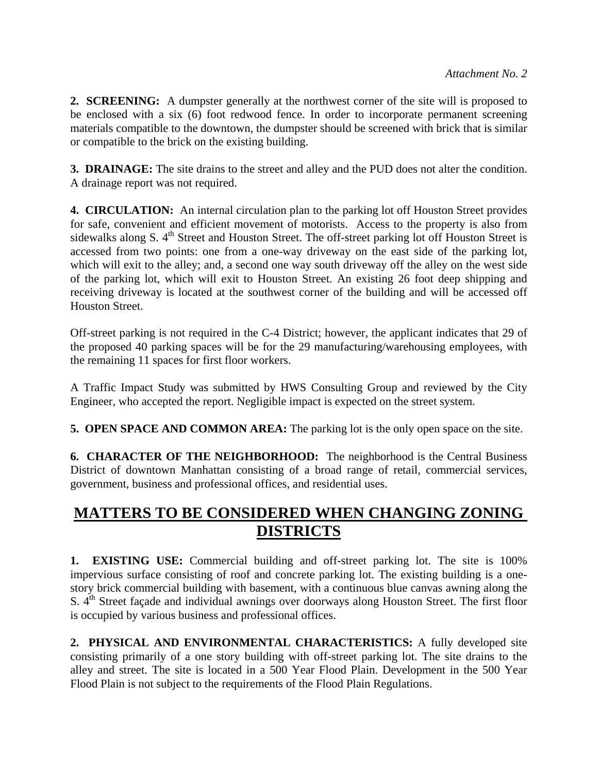**2. SCREENING:** A dumpster generally at the northwest corner of the site will is proposed to be enclosed with a six (6) foot redwood fence. In order to incorporate permanent screening materials compatible to the downtown, the dumpster should be screened with brick that is similar or compatible to the brick on the existing building.

**3. DRAINAGE:** The site drains to the street and alley and the PUD does not alter the condition. A drainage report was not required.

**4. CIRCULATION:** An internal circulation plan to the parking lot off Houston Street provides for safe, convenient and efficient movement of motorists. Access to the property is also from sidewalks along S. 4<sup>th</sup> Street and Houston Street. The off-street parking lot off Houston Street is accessed from two points: one from a one-way driveway on the east side of the parking lot, which will exit to the alley; and, a second one way south driveway off the alley on the west side of the parking lot, which will exit to Houston Street. An existing 26 foot deep shipping and receiving driveway is located at the southwest corner of the building and will be accessed off Houston Street.

Off-street parking is not required in the C-4 District; however, the applicant indicates that 29 of the proposed 40 parking spaces will be for the 29 manufacturing/warehousing employees, with the remaining 11 spaces for first floor workers.

A Traffic Impact Study was submitted by HWS Consulting Group and reviewed by the City Engineer, who accepted the report. Negligible impact is expected on the street system.

**5. OPEN SPACE AND COMMON AREA:** The parking lot is the only open space on the site.

**6. CHARACTER OF THE NEIGHBORHOOD:** The neighborhood is the Central Business District of downtown Manhattan consisting of a broad range of retail, commercial services, government, business and professional offices, and residential uses.

# **MATTERS TO BE CONSIDERED WHEN CHANGING ZONING DISTRICTS**

**1. EXISTING USE:** Commercial building and off-street parking lot. The site is 100% impervious surface consisting of roof and concrete parking lot. The existing building is a onestory brick commercial building with basement, with a continuous blue canvas awning along the S. 4<sup>th</sup> Street façade and individual awnings over doorways along Houston Street. The first floor is occupied by various business and professional offices.

**2. PHYSICAL AND ENVIRONMENTAL CHARACTERISTICS:** A fully developed site consisting primarily of a one story building with off-street parking lot. The site drains to the alley and street. The site is located in a 500 Year Flood Plain. Development in the 500 Year Flood Plain is not subject to the requirements of the Flood Plain Regulations.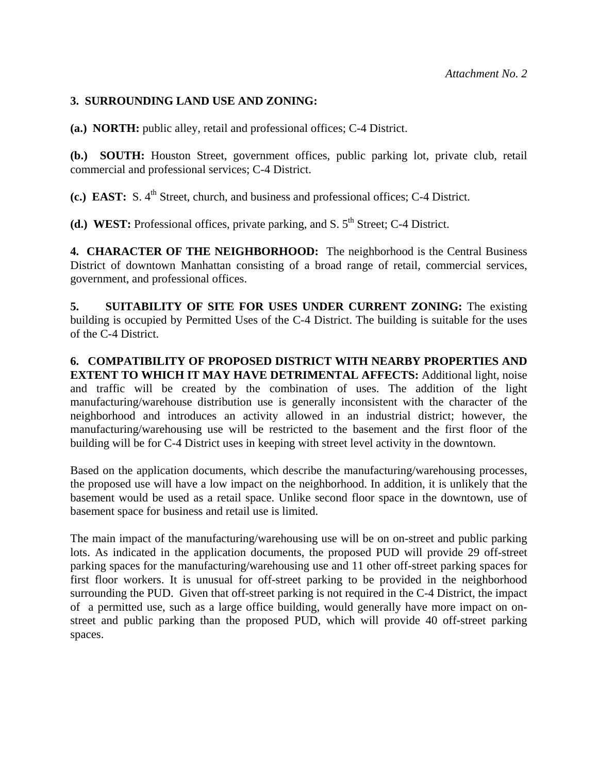#### **3. SURROUNDING LAND USE AND ZONING:**

**(a.) NORTH:** public alley, retail and professional offices; C-4 District.

**(b.) SOUTH:** Houston Street, government offices, public parking lot, private club, retail commercial and professional services; C-4 District.

**(c.) EAST:** S. 4<sup>th</sup> Street, church, and business and professional offices; C-4 District.

**(d.) WEST:** Professional offices, private parking, and S.  $5<sup>th</sup>$  Street; C-4 District.

**4. CHARACTER OF THE NEIGHBORHOOD:** The neighborhood is the Central Business District of downtown Manhattan consisting of a broad range of retail, commercial services, government, and professional offices.

**5. SUITABILITY OF SITE FOR USES UNDER CURRENT ZONING:** The existing building is occupied by Permitted Uses of the C-4 District. The building is suitable for the uses of the C-4 District.

**6. COMPATIBILITY OF PROPOSED DISTRICT WITH NEARBY PROPERTIES AND EXTENT TO WHICH IT MAY HAVE DETRIMENTAL AFFECTS:** Additional light, noise and traffic will be created by the combination of uses. The addition of the light manufacturing/warehouse distribution use is generally inconsistent with the character of the neighborhood and introduces an activity allowed in an industrial district; however, the manufacturing/warehousing use will be restricted to the basement and the first floor of the building will be for C-4 District uses in keeping with street level activity in the downtown.

Based on the application documents, which describe the manufacturing/warehousing processes, the proposed use will have a low impact on the neighborhood. In addition, it is unlikely that the basement would be used as a retail space. Unlike second floor space in the downtown, use of basement space for business and retail use is limited.

The main impact of the manufacturing/warehousing use will be on on-street and public parking lots. As indicated in the application documents, the proposed PUD will provide 29 off-street parking spaces for the manufacturing/warehousing use and 11 other off-street parking spaces for first floor workers. It is unusual for off-street parking to be provided in the neighborhood surrounding the PUD. Given that off-street parking is not required in the C-4 District, the impact of a permitted use, such as a large office building, would generally have more impact on onstreet and public parking than the proposed PUD, which will provide 40 off-street parking spaces.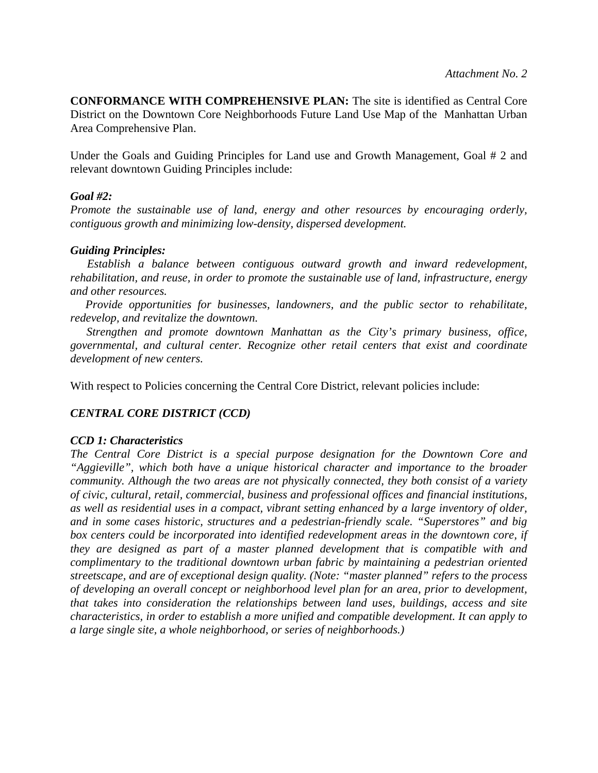**CONFORMANCE WITH COMPREHENSIVE PLAN:** The site is identified as Central Core District on the Downtown Core Neighborhoods Future Land Use Map of the Manhattan Urban Area Comprehensive Plan.

Under the Goals and Guiding Principles for Land use and Growth Management, Goal # 2 and relevant downtown Guiding Principles include:

#### *Goal #2:*

*Promote the sustainable use of land, energy and other resources by encouraging orderly, contiguous growth and minimizing low-density, dispersed development.* 

#### *Guiding Principles:*

 *Establish a balance between contiguous outward growth and inward redevelopment, rehabilitation, and reuse, in order to promote the sustainable use of land, infrastructure, energy and other resources.* 

 *Provide opportunities for businesses, landowners, and the public sector to rehabilitate, redevelop, and revitalize the downtown.* 

 *Strengthen and promote downtown Manhattan as the City's primary business, office, governmental, and cultural center. Recognize other retail centers that exist and coordinate development of new centers.* 

With respect to Policies concerning the Central Core District, relevant policies include:

### *CENTRAL CORE DISTRICT (CCD)*

#### *CCD 1: Characteristics*

*The Central Core District is a special purpose designation for the Downtown Core and "Aggieville", which both have a unique historical character and importance to the broader community. Although the two areas are not physically connected, they both consist of a variety of civic, cultural, retail, commercial, business and professional offices and financial institutions, as well as residential uses in a compact, vibrant setting enhanced by a large inventory of older, and in some cases historic, structures and a pedestrian-friendly scale. "Superstores" and big*  box centers could be incorporated into identified redevelopment areas in the downtown core, if *they are designed as part of a master planned development that is compatible with and complimentary to the traditional downtown urban fabric by maintaining a pedestrian oriented streetscape, and are of exceptional design quality. (Note: "master planned" refers to the process of developing an overall concept or neighborhood level plan for an area, prior to development, that takes into consideration the relationships between land uses, buildings, access and site characteristics, in order to establish a more unified and compatible development. It can apply to a large single site, a whole neighborhood, or series of neighborhoods.)*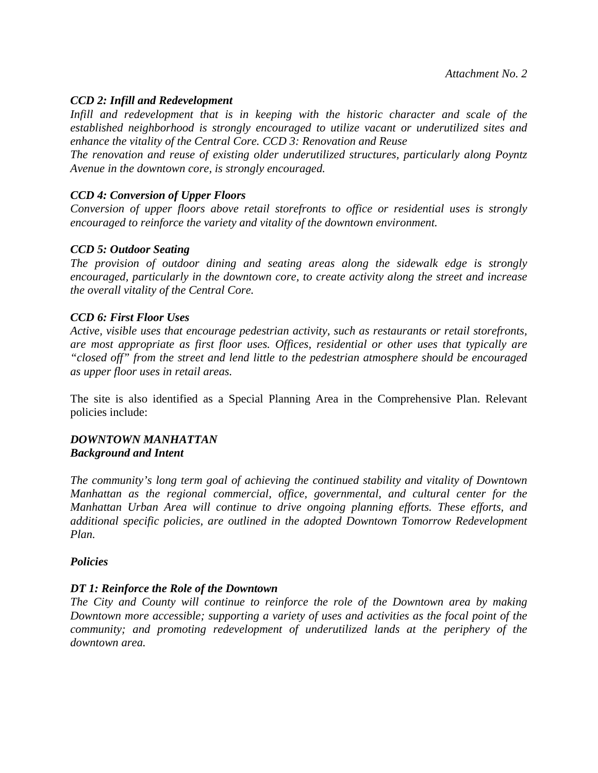#### *CCD 2: Infill and Redevelopment*

*Infill and redevelopment that is in keeping with the historic character and scale of the established neighborhood is strongly encouraged to utilize vacant or underutilized sites and enhance the vitality of the Central Core. CCD 3: Renovation and Reuse* 

*The renovation and reuse of existing older underutilized structures, particularly along Poyntz Avenue in the downtown core, is strongly encouraged.* 

#### *CCD 4: Conversion of Upper Floors*

*Conversion of upper floors above retail storefronts to office or residential uses is strongly encouraged to reinforce the variety and vitality of the downtown environment.* 

#### *CCD 5: Outdoor Seating*

*The provision of outdoor dining and seating areas along the sidewalk edge is strongly encouraged, particularly in the downtown core, to create activity along the street and increase the overall vitality of the Central Core.* 

#### *CCD 6: First Floor Uses*

*Active, visible uses that encourage pedestrian activity, such as restaurants or retail storefronts, are most appropriate as first floor uses. Offices, residential or other uses that typically are "closed off" from the street and lend little to the pedestrian atmosphere should be encouraged as upper floor uses in retail areas.* 

The site is also identified as a Special Planning Area in the Comprehensive Plan. Relevant policies include:

#### *DOWNTOWN MANHATTAN Background and Intent*

*The community's long term goal of achieving the continued stability and vitality of Downtown Manhattan as the regional commercial, office, governmental, and cultural center for the Manhattan Urban Area will continue to drive ongoing planning efforts. These efforts, and additional specific policies, are outlined in the adopted Downtown Tomorrow Redevelopment Plan.* 

#### *Policies*

#### *DT 1: Reinforce the Role of the Downtown*

*The City and County will continue to reinforce the role of the Downtown area by making Downtown more accessible; supporting a variety of uses and activities as the focal point of the community; and promoting redevelopment of underutilized lands at the periphery of the downtown area.*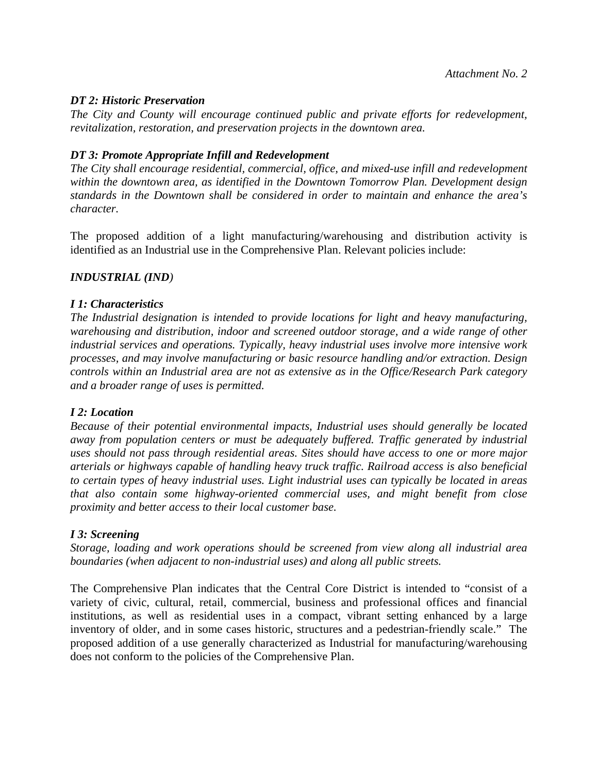#### *DT 2: Historic Preservation*

*The City and County will encourage continued public and private efforts for redevelopment, revitalization, restoration, and preservation projects in the downtown area.* 

#### *DT 3: Promote Appropriate Infill and Redevelopment*

*The City shall encourage residential, commercial, office, and mixed-use infill and redevelopment within the downtown area, as identified in the Downtown Tomorrow Plan. Development design standards in the Downtown shall be considered in order to maintain and enhance the area's character.* 

The proposed addition of a light manufacturing/warehousing and distribution activity is identified as an Industrial use in the Comprehensive Plan. Relevant policies include:

#### *INDUSTRIAL (IND)*

#### *I 1: Characteristics*

*The Industrial designation is intended to provide locations for light and heavy manufacturing, warehousing and distribution, indoor and screened outdoor storage, and a wide range of other industrial services and operations. Typically, heavy industrial uses involve more intensive work processes, and may involve manufacturing or basic resource handling and/or extraction. Design controls within an Industrial area are not as extensive as in the Office/Research Park category and a broader range of uses is permitted.* 

#### *I 2: Location*

*Because of their potential environmental impacts, Industrial uses should generally be located away from population centers or must be adequately buffered. Traffic generated by industrial uses should not pass through residential areas. Sites should have access to one or more major arterials or highways capable of handling heavy truck traffic. Railroad access is also beneficial to certain types of heavy industrial uses. Light industrial uses can typically be located in areas that also contain some highway-oriented commercial uses, and might benefit from close proximity and better access to their local customer base.* 

#### *I 3: Screening*

*Storage, loading and work operations should be screened from view along all industrial area boundaries (when adjacent to non-industrial uses) and along all public streets.* 

The Comprehensive Plan indicates that the Central Core District is intended to "consist of a variety of civic, cultural, retail, commercial, business and professional offices and financial institutions, as well as residential uses in a compact, vibrant setting enhanced by a large inventory of older, and in some cases historic, structures and a pedestrian-friendly scale." The proposed addition of a use generally characterized as Industrial for manufacturing/warehousing does not conform to the policies of the Comprehensive Plan.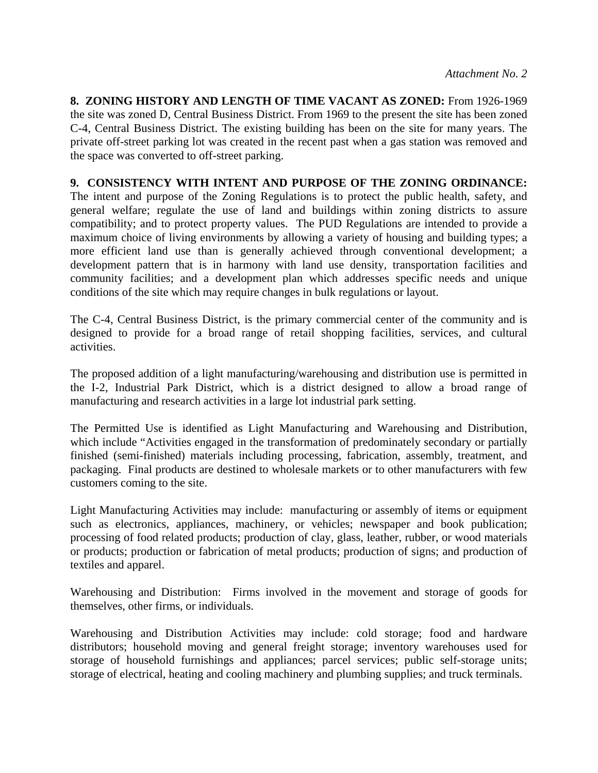**8. ZONING HISTORY AND LENGTH OF TIME VACANT AS ZONED:** From 1926-1969 the site was zoned D, Central Business District. From 1969 to the present the site has been zoned C-4, Central Business District. The existing building has been on the site for many years. The private off-street parking lot was created in the recent past when a gas station was removed and the space was converted to off-street parking.

#### **9. CONSISTENCY WITH INTENT AND PURPOSE OF THE ZONING ORDINANCE:**

The intent and purpose of the Zoning Regulations is to protect the public health, safety, and general welfare; regulate the use of land and buildings within zoning districts to assure compatibility; and to protect property values. The PUD Regulations are intended to provide a maximum choice of living environments by allowing a variety of housing and building types; a more efficient land use than is generally achieved through conventional development; a development pattern that is in harmony with land use density, transportation facilities and community facilities; and a development plan which addresses specific needs and unique conditions of the site which may require changes in bulk regulations or layout.

The C-4, Central Business District, is the primary commercial center of the community and is designed to provide for a broad range of retail shopping facilities, services, and cultural activities.

The proposed addition of a light manufacturing/warehousing and distribution use is permitted in the I-2, Industrial Park District, which is a district designed to allow a broad range of manufacturing and research activities in a large lot industrial park setting.

The Permitted Use is identified as Light Manufacturing and Warehousing and Distribution, which include "Activities engaged in the transformation of predominately secondary or partially finished (semi-finished) materials including processing, fabrication, assembly, treatment, and packaging. Final products are destined to wholesale markets or to other manufacturers with few customers coming to the site.

Light Manufacturing Activities may include: manufacturing or assembly of items or equipment such as electronics, appliances, machinery, or vehicles; newspaper and book publication; processing of food related products; production of clay, glass, leather, rubber, or wood materials or products; production or fabrication of metal products; production of signs; and production of textiles and apparel.

Warehousing and Distribution: Firms involved in the movement and storage of goods for themselves, other firms, or individuals.

Warehousing and Distribution Activities may include: cold storage; food and hardware distributors; household moving and general freight storage; inventory warehouses used for storage of household furnishings and appliances; parcel services; public self-storage units; storage of electrical, heating and cooling machinery and plumbing supplies; and truck terminals.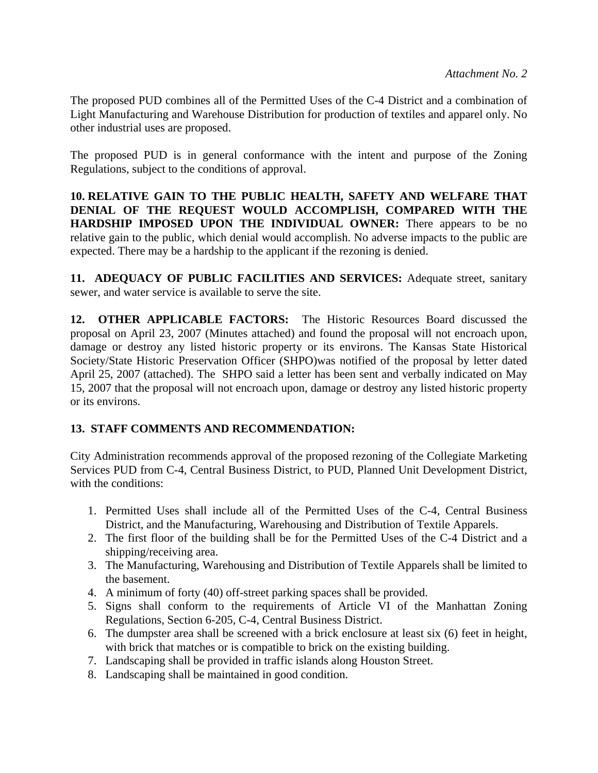The proposed PUD combines all of the Permitted Uses of the C-4 District and a combination of Light Manufacturing and Warehouse Distribution for production of textiles and apparel only. No other industrial uses are proposed.

The proposed PUD is in general conformance with the intent and purpose of the Zoning Regulations, subject to the conditions of approval.

**10. RELATIVE GAIN TO THE PUBLIC HEALTH, SAFETY AND WELFARE THAT DENIAL OF THE REQUEST WOULD ACCOMPLISH, COMPARED WITH THE HARDSHIP IMPOSED UPON THE INDIVIDUAL OWNER:** There appears to be no relative gain to the public, which denial would accomplish. No adverse impacts to the public are expected. There may be a hardship to the applicant if the rezoning is denied.

**11. ADEQUACY OF PUBLIC FACILITIES AND SERVICES:** Adequate street, sanitary sewer, and water service is available to serve the site.

**12. OTHER APPLICABLE FACTORS:** The Historic Resources Board discussed the proposal on April 23, 2007 (Minutes attached) and found the proposal will not encroach upon, damage or destroy any listed historic property or its environs. The Kansas State Historical Society/State Historic Preservation Officer (SHPO)was notified of the proposal by letter dated April 25, 2007 (attached). The SHPO said a letter has been sent and verbally indicated on May 15, 2007 that the proposal will not encroach upon, damage or destroy any listed historic property or its environs.

### **13. STAFF COMMENTS AND RECOMMENDATION:**

City Administration recommends approval of the proposed rezoning of the Collegiate Marketing Services PUD from C-4, Central Business District, to PUD, Planned Unit Development District, with the conditions:

- 1. Permitted Uses shall include all of the Permitted Uses of the C-4, Central Business District, and the Manufacturing, Warehousing and Distribution of Textile Apparels.
- 2. The first floor of the building shall be for the Permitted Uses of the C-4 District and a shipping/receiving area.
- 3. The Manufacturing, Warehousing and Distribution of Textile Apparels shall be limited to the basement.
- 4. A minimum of forty (40) off-street parking spaces shall be provided.
- 5. Signs shall conform to the requirements of Article VI of the Manhattan Zoning Regulations, Section 6-205, C-4, Central Business District.
- 6. The dumpster area shall be screened with a brick enclosure at least six (6) feet in height, with brick that matches or is compatible to brick on the existing building.
- 7. Landscaping shall be provided in traffic islands along Houston Street.
- 8. Landscaping shall be maintained in good condition.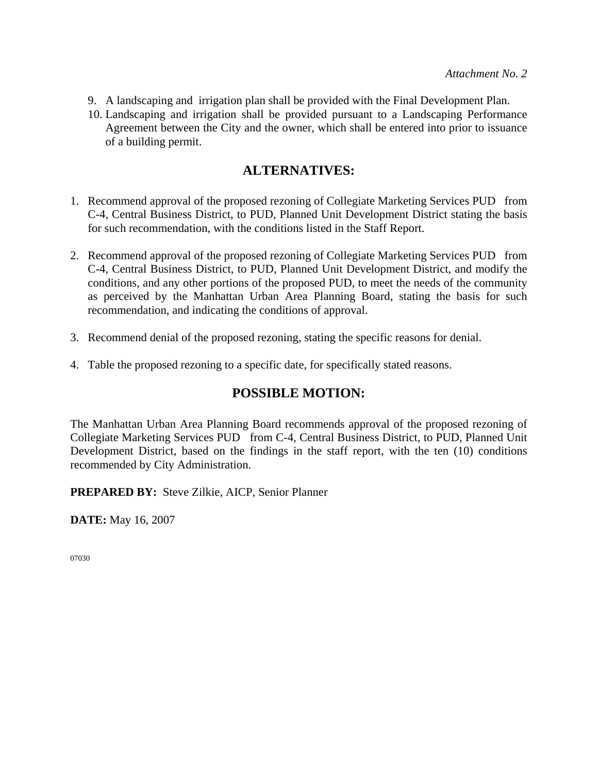- 9. A landscaping and irrigation plan shall be provided with the Final Development Plan.
- 10. Landscaping and irrigation shall be provided pursuant to a Landscaping Performance Agreement between the City and the owner, which shall be entered into prior to issuance of a building permit.

# **ALTERNATIVES:**

- 1. Recommend approval of the proposed rezoning of Collegiate Marketing Services PUD from C-4, Central Business District, to PUD, Planned Unit Development District stating the basis for such recommendation, with the conditions listed in the Staff Report.
- 2. Recommend approval of the proposed rezoning of Collegiate Marketing Services PUD from C-4, Central Business District, to PUD, Planned Unit Development District, and modify the conditions, and any other portions of the proposed PUD, to meet the needs of the community as perceived by the Manhattan Urban Area Planning Board, stating the basis for such recommendation, and indicating the conditions of approval.
- 3. Recommend denial of the proposed rezoning, stating the specific reasons for denial.
- 4. Table the proposed rezoning to a specific date, for specifically stated reasons.

# **POSSIBLE MOTION:**

The Manhattan Urban Area Planning Board recommends approval of the proposed rezoning of Collegiate Marketing Services PUD from C-4, Central Business District, to PUD, Planned Unit Development District, based on the findings in the staff report, with the ten (10) conditions recommended by City Administration.

**PREPARED BY:** Steve Zilkie, AICP, Senior Planner

**DATE:** May 16, 2007

07030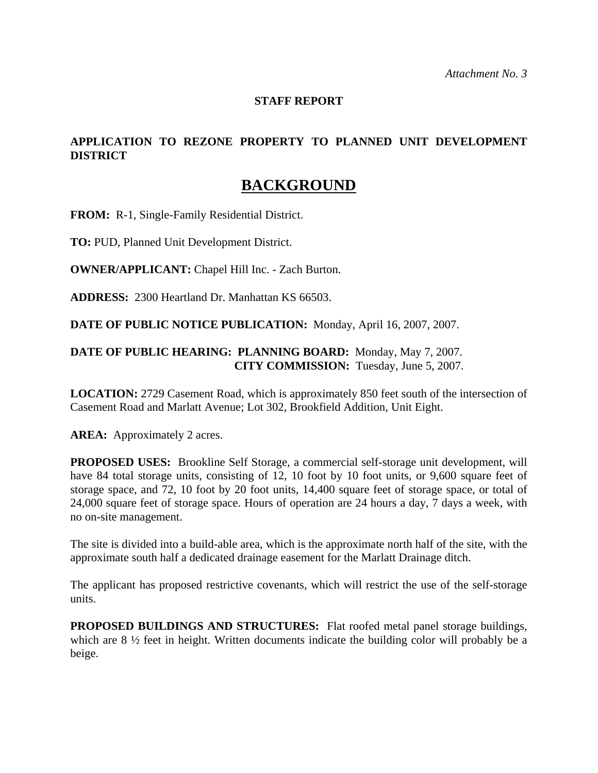### **STAFF REPORT**

# **APPLICATION TO REZONE PROPERTY TO PLANNED UNIT DEVELOPMENT DISTRICT**

# **BACKGROUND**

**FROM:** R-1, Single-Family Residential District.

**TO:** PUD, Planned Unit Development District.

**OWNER/APPLICANT:** Chapel Hill Inc. - Zach Burton.

**ADDRESS:** 2300 Heartland Dr. Manhattan KS 66503.

**DATE OF PUBLIC NOTICE PUBLICATION:** Monday, April 16, 2007, 2007.

### **DATE OF PUBLIC HEARING: PLANNING BOARD:** Monday, May 7, 2007. **CITY COMMISSION:** Tuesday, June 5, 2007.

**LOCATION:** 2729 Casement Road, which is approximately 850 feet south of the intersection of Casement Road and Marlatt Avenue; Lot 302, Brookfield Addition, Unit Eight.

AREA: Approximately 2 acres.

**PROPOSED USES:** Brookline Self Storage, a commercial self-storage unit development, will have 84 total storage units, consisting of 12, 10 foot by 10 foot units, or 9,600 square feet of storage space, and 72, 10 foot by 20 foot units, 14,400 square feet of storage space, or total of 24,000 square feet of storage space. Hours of operation are 24 hours a day, 7 days a week, with no on-site management.

The site is divided into a build-able area, which is the approximate north half of the site, with the approximate south half a dedicated drainage easement for the Marlatt Drainage ditch.

The applicant has proposed restrictive covenants, which will restrict the use of the self-storage units.

**PROPOSED BUILDINGS AND STRUCTURES:** Flat roofed metal panel storage buildings, which are  $8\frac{1}{2}$  feet in height. Written documents indicate the building color will probably be a beige.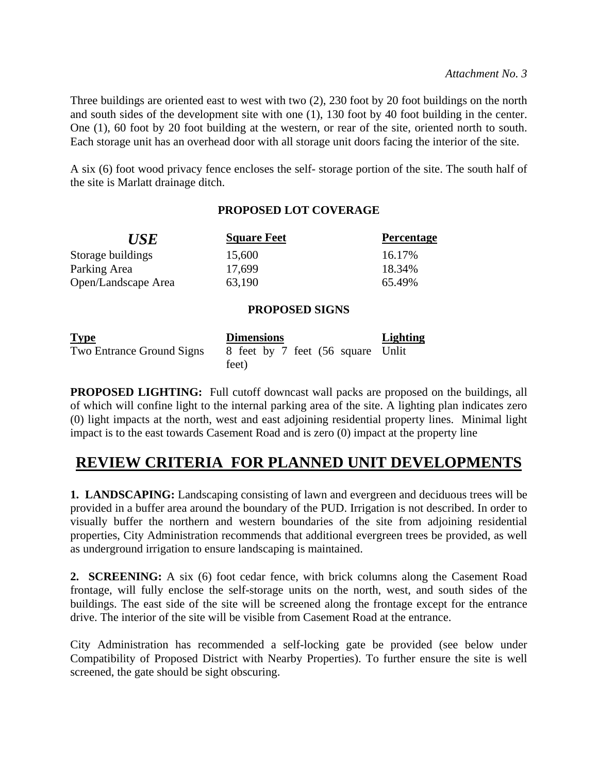Three buildings are oriented east to west with two (2), 230 foot by 20 foot buildings on the north and south sides of the development site with one (1), 130 foot by 40 foot building in the center. One (1), 60 foot by 20 foot building at the western, or rear of the site, oriented north to south. Each storage unit has an overhead door with all storage unit doors facing the interior of the site.

A six (6) foot wood privacy fence encloses the self- storage portion of the site. The south half of the site is Marlatt drainage ditch.

# **PROPOSED LOT COVERAGE**

| <b>USE</b>          | <b>Square Feet</b> | <b>Percentage</b> |
|---------------------|--------------------|-------------------|
| Storage buildings   | 15,600             | 16.17%            |
| Parking Area        | 17,699             | 18.34%            |
| Open/Landscape Area | 63,190             | 65.49%            |

# **PROPOSED SIGNS**

| <b>Type</b>                      | <b>Dimensions</b>                 | <b>Lighting</b> |
|----------------------------------|-----------------------------------|-----------------|
| <b>Two Entrance Ground Signs</b> | 8 feet by 7 feet (56 square Unlit |                 |
|                                  | feet)                             |                 |

**PROPOSED LIGHTING:** Full cutoff downcast wall packs are proposed on the buildings, all of which will confine light to the internal parking area of the site. A lighting plan indicates zero (0) light impacts at the north, west and east adjoining residential property lines. Minimal light impact is to the east towards Casement Road and is zero (0) impact at the property line

# **REVIEW CRITERIA FOR PLANNED UNIT DEVELOPMENTS**

**1. LANDSCAPING:** Landscaping consisting of lawn and evergreen and deciduous trees will be provided in a buffer area around the boundary of the PUD. Irrigation is not described. In order to visually buffer the northern and western boundaries of the site from adjoining residential properties, City Administration recommends that additional evergreen trees be provided, as well as underground irrigation to ensure landscaping is maintained.

**2. SCREENING:** A six (6) foot cedar fence, with brick columns along the Casement Road frontage, will fully enclose the self-storage units on the north, west, and south sides of the buildings. The east side of the site will be screened along the frontage except for the entrance drive. The interior of the site will be visible from Casement Road at the entrance.

City Administration has recommended a self-locking gate be provided (see below under Compatibility of Proposed District with Nearby Properties). To further ensure the site is well screened, the gate should be sight obscuring.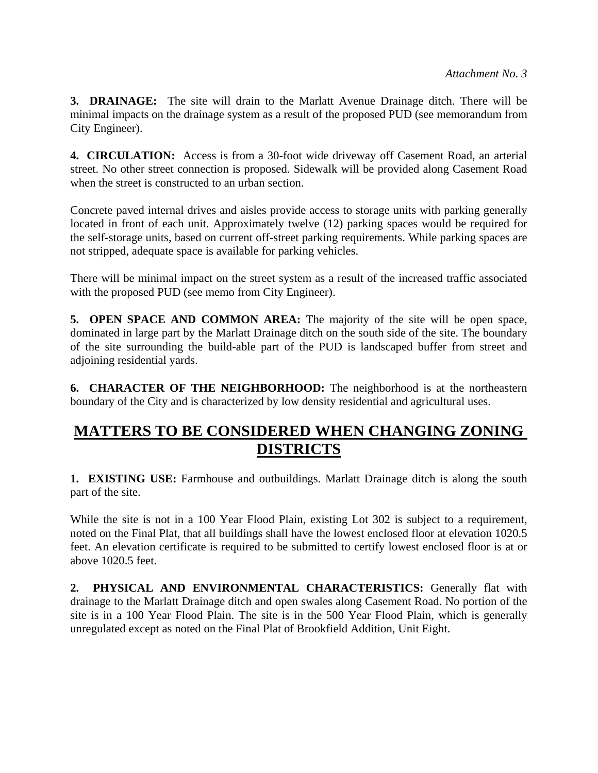**3. DRAINAGE:** The site will drain to the Marlatt Avenue Drainage ditch. There will be minimal impacts on the drainage system as a result of the proposed PUD (see memorandum from City Engineer).

**4. CIRCULATION:** Access is from a 30-foot wide driveway off Casement Road, an arterial street. No other street connection is proposed. Sidewalk will be provided along Casement Road when the street is constructed to an urban section.

Concrete paved internal drives and aisles provide access to storage units with parking generally located in front of each unit. Approximately twelve (12) parking spaces would be required for the self-storage units, based on current off-street parking requirements. While parking spaces are not stripped, adequate space is available for parking vehicles.

There will be minimal impact on the street system as a result of the increased traffic associated with the proposed PUD (see memo from City Engineer).

**5. OPEN SPACE AND COMMON AREA:** The majority of the site will be open space, dominated in large part by the Marlatt Drainage ditch on the south side of the site. The boundary of the site surrounding the build-able part of the PUD is landscaped buffer from street and adjoining residential yards.

**6. CHARACTER OF THE NEIGHBORHOOD:** The neighborhood is at the northeastern boundary of the City and is characterized by low density residential and agricultural uses.

# **MATTERS TO BE CONSIDERED WHEN CHANGING ZONING DISTRICTS**

**1. EXISTING USE:** Farmhouse and outbuildings. Marlatt Drainage ditch is along the south part of the site.

While the site is not in a 100 Year Flood Plain, existing Lot 302 is subject to a requirement, noted on the Final Plat, that all buildings shall have the lowest enclosed floor at elevation 1020.5 feet. An elevation certificate is required to be submitted to certify lowest enclosed floor is at or above 1020.5 feet.

**2. PHYSICAL AND ENVIRONMENTAL CHARACTERISTICS:** Generally flat with drainage to the Marlatt Drainage ditch and open swales along Casement Road. No portion of the site is in a 100 Year Flood Plain. The site is in the 500 Year Flood Plain, which is generally unregulated except as noted on the Final Plat of Brookfield Addition, Unit Eight.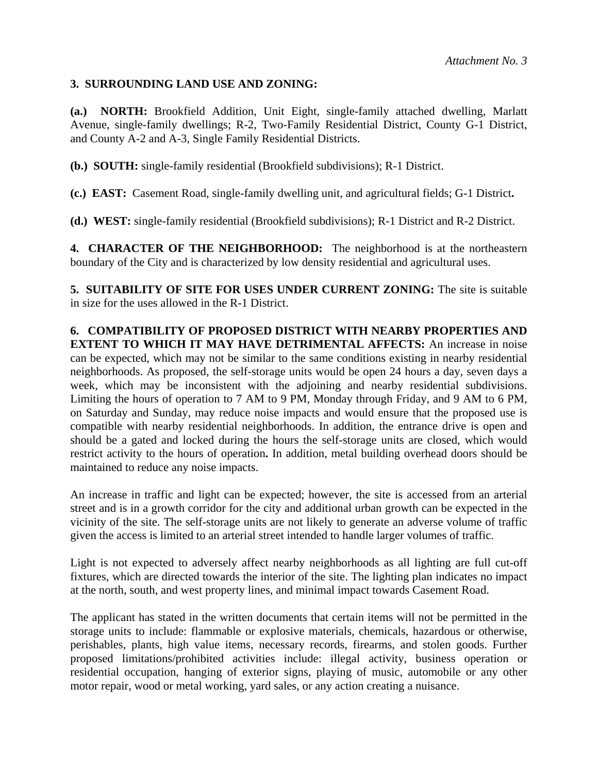### **3. SURROUNDING LAND USE AND ZONING:**

**(a.) NORTH:** Brookfield Addition, Unit Eight, single-family attached dwelling, Marlatt Avenue, single-family dwellings; R-2, Two-Family Residential District, County G-1 District, and County A-2 and A-3, Single Family Residential Districts.

**(b.) SOUTH:** single-family residential (Brookfield subdivisions); R-1 District.

**(c.) EAST:** Casement Road, single-family dwelling unit, and agricultural fields; G-1 District**.**

**(d.) WEST:** single-family residential (Brookfield subdivisions); R-1 District and R-2 District.

**4. CHARACTER OF THE NEIGHBORHOOD:** The neighborhood is at the northeastern boundary of the City and is characterized by low density residential and agricultural uses.

**5. SUITABILITY OF SITE FOR USES UNDER CURRENT ZONING:** The site is suitable in size for the uses allowed in the R-1 District.

**6. COMPATIBILITY OF PROPOSED DISTRICT WITH NEARBY PROPERTIES AND EXTENT TO WHICH IT MAY HAVE DETRIMENTAL AFFECTS:** An increase in noise can be expected, which may not be similar to the same conditions existing in nearby residential neighborhoods. As proposed, the self-storage units would be open 24 hours a day, seven days a week, which may be inconsistent with the adjoining and nearby residential subdivisions. Limiting the hours of operation to 7 AM to 9 PM, Monday through Friday, and 9 AM to 6 PM, on Saturday and Sunday, may reduce noise impacts and would ensure that the proposed use is compatible with nearby residential neighborhoods. In addition, the entrance drive is open and should be a gated and locked during the hours the self-storage units are closed, which would restrict activity to the hours of operation**.** In addition, metal building overhead doors should be maintained to reduce any noise impacts.

An increase in traffic and light can be expected; however, the site is accessed from an arterial street and is in a growth corridor for the city and additional urban growth can be expected in the vicinity of the site. The self-storage units are not likely to generate an adverse volume of traffic given the access is limited to an arterial street intended to handle larger volumes of traffic.

Light is not expected to adversely affect nearby neighborhoods as all lighting are full cut-off fixtures, which are directed towards the interior of the site. The lighting plan indicates no impact at the north, south, and west property lines, and minimal impact towards Casement Road.

The applicant has stated in the written documents that certain items will not be permitted in the storage units to include: flammable or explosive materials, chemicals, hazardous or otherwise, perishables, plants, high value items, necessary records, firearms, and stolen goods. Further proposed limitations/prohibited activities include: illegal activity, business operation or residential occupation, hanging of exterior signs, playing of music, automobile or any other motor repair, wood or metal working, yard sales, or any action creating a nuisance.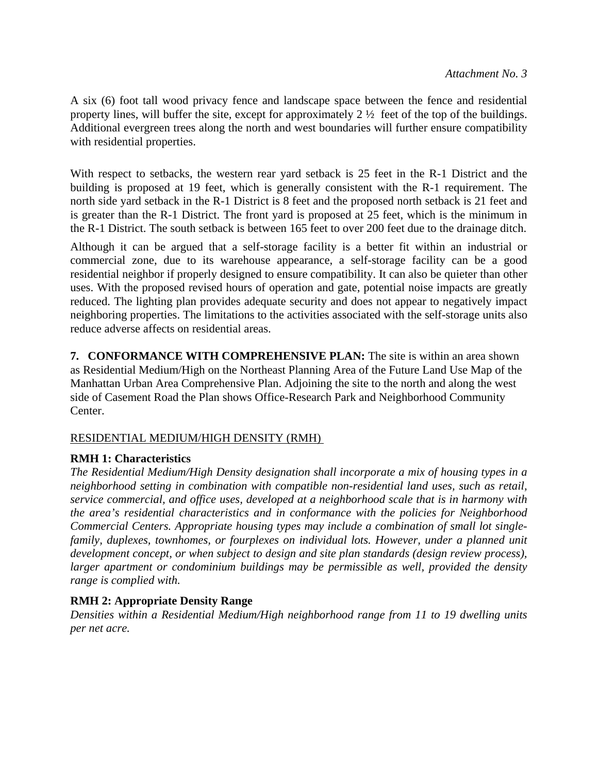A six (6) foot tall wood privacy fence and landscape space between the fence and residential property lines, will buffer the site, except for approximately 2 ½ feet of the top of the buildings. Additional evergreen trees along the north and west boundaries will further ensure compatibility with residential properties.

With respect to setbacks, the western rear yard setback is 25 feet in the R-1 District and the building is proposed at 19 feet, which is generally consistent with the R-1 requirement. The north side yard setback in the R-1 District is 8 feet and the proposed north setback is 21 feet and is greater than the R-1 District. The front yard is proposed at 25 feet, which is the minimum in the R-1 District. The south setback is between 165 feet to over 200 feet due to the drainage ditch.

Although it can be argued that a self-storage facility is a better fit within an industrial or commercial zone, due to its warehouse appearance, a self-storage facility can be a good residential neighbor if properly designed to ensure compatibility. It can also be quieter than other uses. With the proposed revised hours of operation and gate, potential noise impacts are greatly reduced. The lighting plan provides adequate security and does not appear to negatively impact neighboring properties. The limitations to the activities associated with the self-storage units also reduce adverse affects on residential areas.

**7. CONFORMANCE WITH COMPREHENSIVE PLAN:** The site is within an area shown as Residential Medium/High on the Northeast Planning Area of the Future Land Use Map of the Manhattan Urban Area Comprehensive Plan. Adjoining the site to the north and along the west side of Casement Road the Plan shows Office-Research Park and Neighborhood Community Center.

### RESIDENTIAL MEDIUM/HIGH DENSITY (RMH)

### **RMH 1: Characteristics**

*The Residential Medium/High Density designation shall incorporate a mix of housing types in a neighborhood setting in combination with compatible non-residential land uses, such as retail, service commercial, and office uses, developed at a neighborhood scale that is in harmony with the area's residential characteristics and in conformance with the policies for Neighborhood Commercial Centers. Appropriate housing types may include a combination of small lot singlefamily, duplexes, townhomes, or fourplexes on individual lots. However, under a planned unit development concept, or when subject to design and site plan standards (design review process), larger apartment or condominium buildings may be permissible as well, provided the density range is complied with.* 

# **RMH 2: Appropriate Density Range**

*Densities within a Residential Medium/High neighborhood range from 11 to 19 dwelling units per net acre.*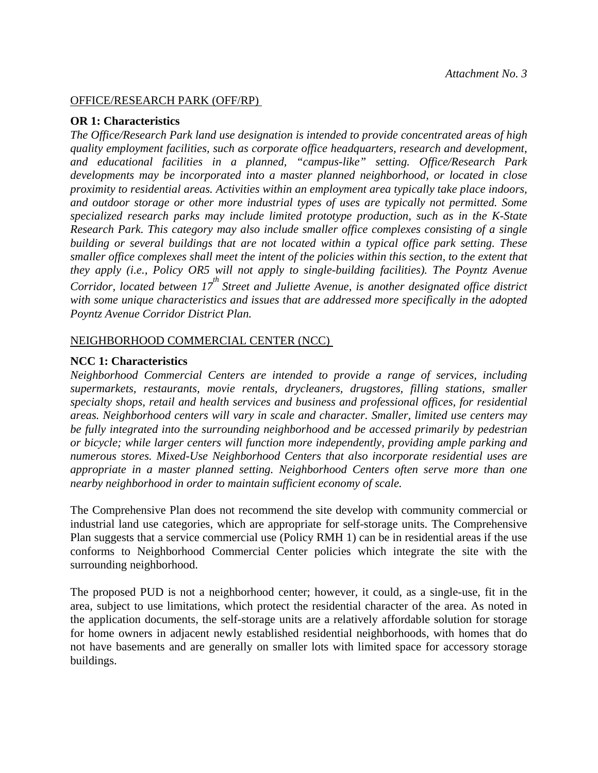#### OFFICE/RESEARCH PARK (OFF/RP)

#### **OR 1: Characteristics**

*The Office/Research Park land use designation is intended to provide concentrated areas of high quality employment facilities, such as corporate office headquarters, research and development, and educational facilities in a planned, "campus-like" setting. Office/Research Park developments may be incorporated into a master planned neighborhood, or located in close proximity to residential areas. Activities within an employment area typically take place indoors, and outdoor storage or other more industrial types of uses are typically not permitted. Some specialized research parks may include limited prototype production, such as in the K-State Research Park. This category may also include smaller office complexes consisting of a single building or several buildings that are not located within a typical office park setting. These smaller office complexes shall meet the intent of the policies within this section, to the extent that they apply (i.e., Policy OR5 will not apply to single-building facilities). The Poyntz Avenue Corridor, located between 17<sup>th</sup> Street and Juliette Avenue, is another designated office district with some unique characteristics and issues that are addressed more specifically in the adopted Poyntz Avenue Corridor District Plan.* 

#### NEIGHBORHOOD COMMERCIAL CENTER (NCC)

#### **NCC 1: Characteristics**

*Neighborhood Commercial Centers are intended to provide a range of services, including supermarkets, restaurants, movie rentals, drycleaners, drugstores, filling stations, smaller specialty shops, retail and health services and business and professional offices, for residential areas. Neighborhood centers will vary in scale and character. Smaller, limited use centers may be fully integrated into the surrounding neighborhood and be accessed primarily by pedestrian or bicycle; while larger centers will function more independently, providing ample parking and numerous stores. Mixed-Use Neighborhood Centers that also incorporate residential uses are appropriate in a master planned setting. Neighborhood Centers often serve more than one nearby neighborhood in order to maintain sufficient economy of scale.* 

The Comprehensive Plan does not recommend the site develop with community commercial or industrial land use categories, which are appropriate for self-storage units. The Comprehensive Plan suggests that a service commercial use (Policy RMH 1) can be in residential areas if the use conforms to Neighborhood Commercial Center policies which integrate the site with the surrounding neighborhood.

The proposed PUD is not a neighborhood center; however, it could, as a single-use, fit in the area, subject to use limitations, which protect the residential character of the area. As noted in the application documents, the self-storage units are a relatively affordable solution for storage for home owners in adjacent newly established residential neighborhoods, with homes that do not have basements and are generally on smaller lots with limited space for accessory storage buildings.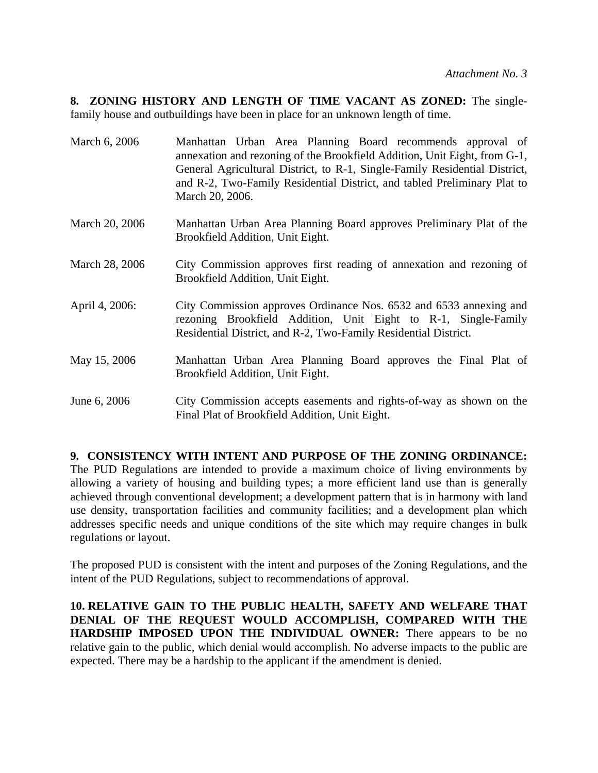**8. ZONING HISTORY AND LENGTH OF TIME VACANT AS ZONED:** The singlefamily house and outbuildings have been in place for an unknown length of time.

| March 6, 2006  | Manhattan Urban Area Planning Board recommends approval of<br>annexation and rezoning of the Brookfield Addition, Unit Eight, from G-1,<br>General Agricultural District, to R-1, Single-Family Residential District,<br>and R-2, Two-Family Residential District, and tabled Preliminary Plat to<br>March 20, 2006. |
|----------------|----------------------------------------------------------------------------------------------------------------------------------------------------------------------------------------------------------------------------------------------------------------------------------------------------------------------|
| March 20, 2006 | Manhattan Urban Area Planning Board approves Preliminary Plat of the<br>Brookfield Addition, Unit Eight.                                                                                                                                                                                                             |
| March 28, 2006 | City Commission approves first reading of annexation and rezoning of<br>Brookfield Addition, Unit Eight.                                                                                                                                                                                                             |
| April 4, 2006: | City Commission approves Ordinance Nos. 6532 and 6533 annexing and<br>rezoning Brookfield Addition, Unit Eight to R-1, Single-Family<br>Residential District, and R-2, Two-Family Residential District.                                                                                                              |
| May 15, 2006   | Manhattan Urban Area Planning Board approves the Final Plat of<br>Brookfield Addition, Unit Eight.                                                                                                                                                                                                                   |
| June 6, 2006   | City Commission accepts easements and rights-of-way as shown on the<br>Final Plat of Brookfield Addition, Unit Eight.                                                                                                                                                                                                |

**9. CONSISTENCY WITH INTENT AND PURPOSE OF THE ZONING ORDINANCE:** The PUD Regulations are intended to provide a maximum choice of living environments by allowing a variety of housing and building types; a more efficient land use than is generally achieved through conventional development; a development pattern that is in harmony with land use density, transportation facilities and community facilities; and a development plan which addresses specific needs and unique conditions of the site which may require changes in bulk regulations or layout.

The proposed PUD is consistent with the intent and purposes of the Zoning Regulations, and the intent of the PUD Regulations, subject to recommendations of approval.

**10. RELATIVE GAIN TO THE PUBLIC HEALTH, SAFETY AND WELFARE THAT DENIAL OF THE REQUEST WOULD ACCOMPLISH, COMPARED WITH THE HARDSHIP IMPOSED UPON THE INDIVIDUAL OWNER:** There appears to be no relative gain to the public, which denial would accomplish. No adverse impacts to the public are expected. There may be a hardship to the applicant if the amendment is denied.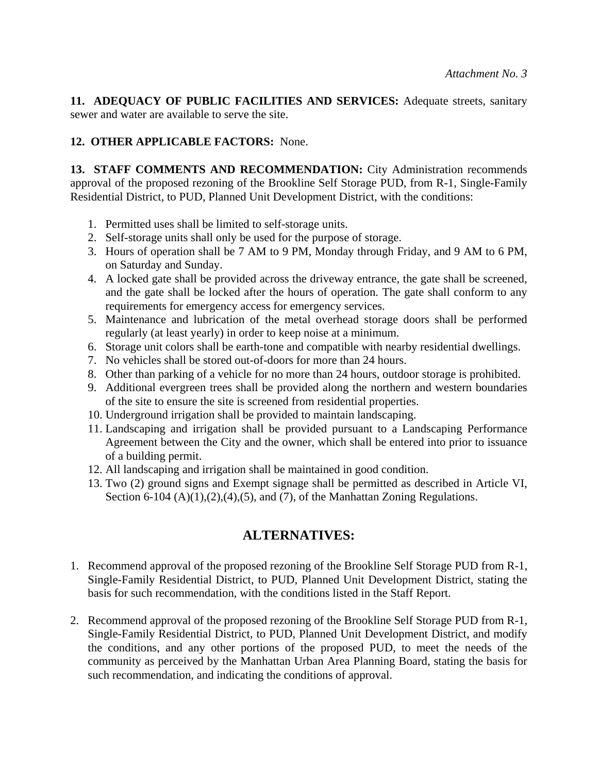**11. ADEQUACY OF PUBLIC FACILITIES AND SERVICES:** Adequate streets, sanitary sewer and water are available to serve the site.

# **12. OTHER APPLICABLE FACTORS:** None.

13. STAFF COMMENTS AND RECOMMENDATION: City Administration recommends approval of the proposed rezoning of the Brookline Self Storage PUD, from R-1, Single-Family Residential District, to PUD, Planned Unit Development District, with the conditions:

- 1. Permitted uses shall be limited to self-storage units.
- 2. Self-storage units shall only be used for the purpose of storage.
- 3. Hours of operation shall be 7 AM to 9 PM, Monday through Friday, and 9 AM to 6 PM, on Saturday and Sunday.
- 4. A locked gate shall be provided across the driveway entrance, the gate shall be screened, and the gate shall be locked after the hours of operation. The gate shall conform to any requirements for emergency access for emergency services.
- 5. Maintenance and lubrication of the metal overhead storage doors shall be performed regularly (at least yearly) in order to keep noise at a minimum.
- 6. Storage unit colors shall be earth-tone and compatible with nearby residential dwellings.
- 7. No vehicles shall be stored out-of-doors for more than 24 hours.
- 8. Other than parking of a vehicle for no more than 24 hours, outdoor storage is prohibited.
- 9. Additional evergreen trees shall be provided along the northern and western boundaries of the site to ensure the site is screened from residential properties.
- 10. Underground irrigation shall be provided to maintain landscaping.
- 11. Landscaping and irrigation shall be provided pursuant to a Landscaping Performance Agreement between the City and the owner, which shall be entered into prior to issuance of a building permit.
- 12. All landscaping and irrigation shall be maintained in good condition.
- 13. Two (2) ground signs and Exempt signage shall be permitted as described in Article VI, Section 6-104  $(A)(1),(2),(4),(5)$ , and  $(7)$ , of the Manhattan Zoning Regulations.

# **ALTERNATIVES:**

- 1. Recommend approval of the proposed rezoning of the Brookline Self Storage PUD from R-1, Single-Family Residential District, to PUD, Planned Unit Development District, stating the basis for such recommendation, with the conditions listed in the Staff Report.
- 2. Recommend approval of the proposed rezoning of the Brookline Self Storage PUD from R-1, Single-Family Residential District, to PUD, Planned Unit Development District, and modify the conditions, and any other portions of the proposed PUD, to meet the needs of the community as perceived by the Manhattan Urban Area Planning Board, stating the basis for such recommendation, and indicating the conditions of approval.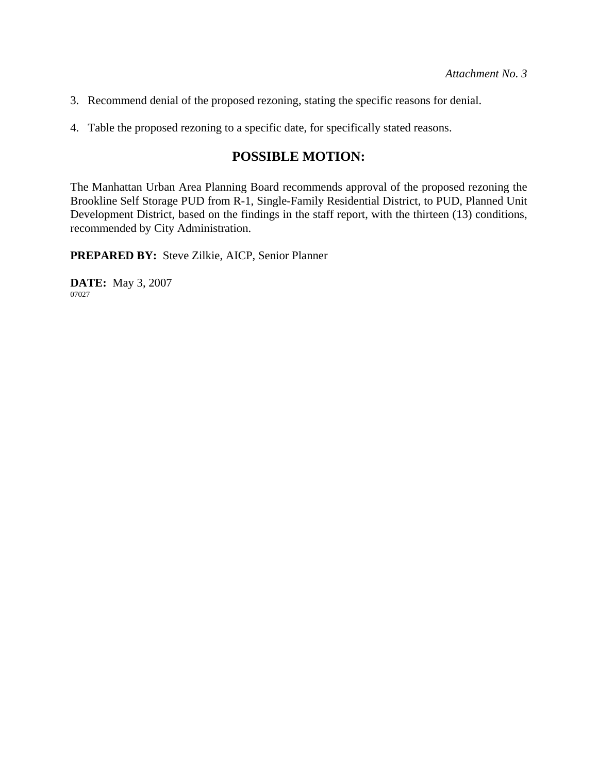- 3. Recommend denial of the proposed rezoning, stating the specific reasons for denial.
- 4. Table the proposed rezoning to a specific date, for specifically stated reasons.

# **POSSIBLE MOTION:**

The Manhattan Urban Area Planning Board recommends approval of the proposed rezoning the Brookline Self Storage PUD from R-1, Single-Family Residential District, to PUD, Planned Unit Development District, based on the findings in the staff report, with the thirteen (13) conditions, recommended by City Administration.

**PREPARED BY:** Steve Zilkie, AICP, Senior Planner

**DATE:** May 3, 2007 07027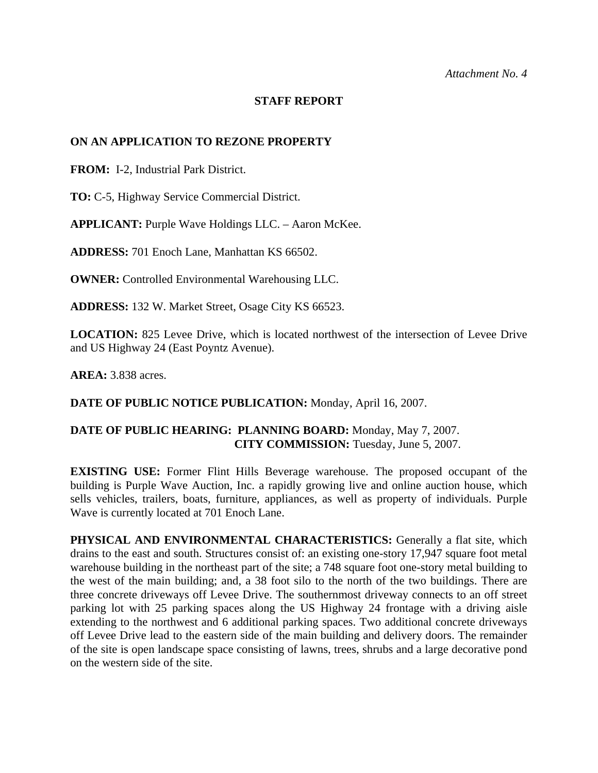#### **STAFF REPORT**

#### **ON AN APPLICATION TO REZONE PROPERTY**

**FROM:** I-2, Industrial Park District.

**TO:** C-5, Highway Service Commercial District.

**APPLICANT:** Purple Wave Holdings LLC. – Aaron McKee.

**ADDRESS:** 701 Enoch Lane, Manhattan KS 66502.

**OWNER:** Controlled Environmental Warehousing LLC.

**ADDRESS:** 132 W. Market Street, Osage City KS 66523.

**LOCATION:** 825 Levee Drive, which is located northwest of the intersection of Levee Drive and US Highway 24 (East Poyntz Avenue).

**AREA:** 3.838 acres.

**DATE OF PUBLIC NOTICE PUBLICATION:** Monday, April 16, 2007.

### **DATE OF PUBLIC HEARING: PLANNING BOARD:** Monday, May 7, 2007. **CITY COMMISSION:** Tuesday, June 5, 2007.

**EXISTING USE:** Former Flint Hills Beverage warehouse. The proposed occupant of the building is Purple Wave Auction, Inc. a rapidly growing live and online auction house, which sells vehicles, trailers, boats, furniture, appliances, as well as property of individuals. Purple Wave is currently located at 701 Enoch Lane.

**PHYSICAL AND ENVIRONMENTAL CHARACTERISTICS:** Generally a flat site, which drains to the east and south. Structures consist of: an existing one-story 17,947 square foot metal warehouse building in the northeast part of the site; a 748 square foot one-story metal building to the west of the main building; and, a 38 foot silo to the north of the two buildings. There are three concrete driveways off Levee Drive. The southernmost driveway connects to an off street parking lot with 25 parking spaces along the US Highway 24 frontage with a driving aisle extending to the northwest and 6 additional parking spaces. Two additional concrete driveways off Levee Drive lead to the eastern side of the main building and delivery doors. The remainder of the site is open landscape space consisting of lawns, trees, shrubs and a large decorative pond on the western side of the site.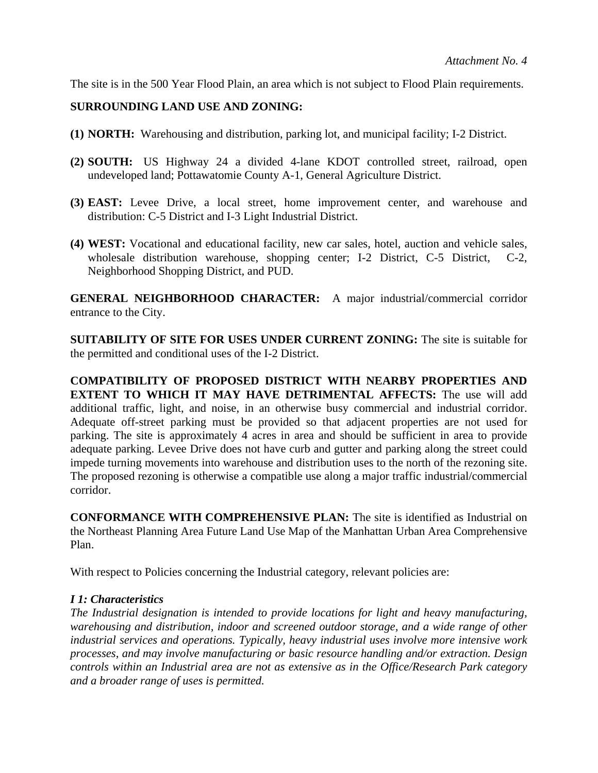The site is in the 500 Year Flood Plain, an area which is not subject to Flood Plain requirements.

### **SURROUNDING LAND USE AND ZONING:**

- **(1) NORTH:** Warehousing and distribution, parking lot, and municipal facility; I-2 District.
- **(2) SOUTH:** US Highway 24 a divided 4-lane KDOT controlled street, railroad, open undeveloped land; Pottawatomie County A-1, General Agriculture District.
- **(3) EAST:** Levee Drive, a local street, home improvement center, and warehouse and distribution: C-5 District and I-3 Light Industrial District.
- **(4) WEST:** Vocational and educational facility, new car sales, hotel, auction and vehicle sales, wholesale distribution warehouse, shopping center; I-2 District, C-5 District, C-2, Neighborhood Shopping District, and PUD.

**GENERAL NEIGHBORHOOD CHARACTER:** A major industrial/commercial corridor entrance to the City.

**SUITABILITY OF SITE FOR USES UNDER CURRENT ZONING:** The site is suitable for the permitted and conditional uses of the I-2 District.

**COMPATIBILITY OF PROPOSED DISTRICT WITH NEARBY PROPERTIES AND EXTENT TO WHICH IT MAY HAVE DETRIMENTAL AFFECTS:** The use will add additional traffic, light, and noise, in an otherwise busy commercial and industrial corridor. Adequate off-street parking must be provided so that adjacent properties are not used for parking. The site is approximately 4 acres in area and should be sufficient in area to provide adequate parking. Levee Drive does not have curb and gutter and parking along the street could impede turning movements into warehouse and distribution uses to the north of the rezoning site. The proposed rezoning is otherwise a compatible use along a major traffic industrial/commercial corridor.

**CONFORMANCE WITH COMPREHENSIVE PLAN:** The site is identified as Industrial on the Northeast Planning Area Future Land Use Map of the Manhattan Urban Area Comprehensive Plan.

With respect to Policies concerning the Industrial category, relevant policies are:

### *I 1: Characteristics*

*The Industrial designation is intended to provide locations for light and heavy manufacturing, warehousing and distribution, indoor and screened outdoor storage, and a wide range of other industrial services and operations. Typically, heavy industrial uses involve more intensive work processes, and may involve manufacturing or basic resource handling and/or extraction. Design controls within an Industrial area are not as extensive as in the Office/Research Park category and a broader range of uses is permitted.*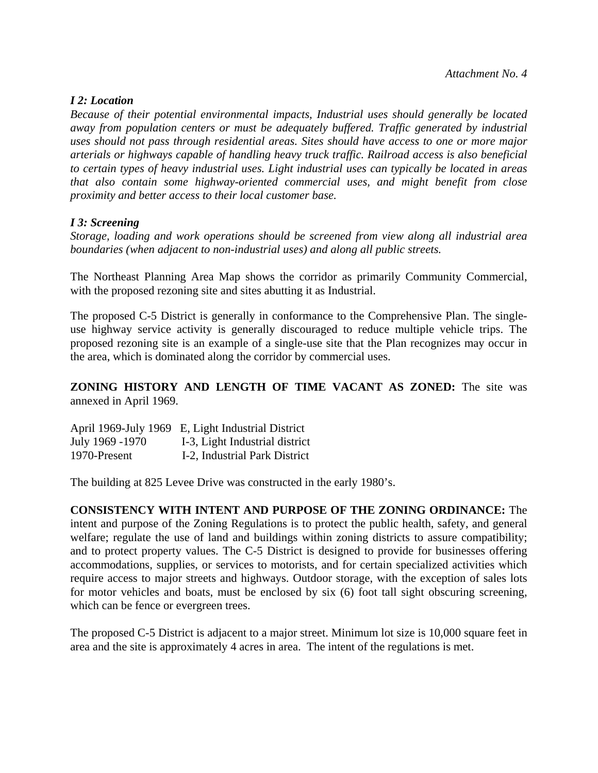#### *I 2: Location*

*Because of their potential environmental impacts, Industrial uses should generally be located away from population centers or must be adequately buffered. Traffic generated by industrial uses should not pass through residential areas. Sites should have access to one or more major arterials or highways capable of handling heavy truck traffic. Railroad access is also beneficial to certain types of heavy industrial uses. Light industrial uses can typically be located in areas that also contain some highway-oriented commercial uses, and might benefit from close proximity and better access to their local customer base.* 

#### *I 3: Screening*

*Storage, loading and work operations should be screened from view along all industrial area boundaries (when adjacent to non-industrial uses) and along all public streets.* 

The Northeast Planning Area Map shows the corridor as primarily Community Commercial, with the proposed rezoning site and sites abutting it as Industrial.

The proposed C-5 District is generally in conformance to the Comprehensive Plan. The singleuse highway service activity is generally discouraged to reduce multiple vehicle trips. The proposed rezoning site is an example of a single-use site that the Plan recognizes may occur in the area, which is dominated along the corridor by commercial uses.

**ZONING HISTORY AND LENGTH OF TIME VACANT AS ZONED:** The site was annexed in April 1969.

|                 | April 1969-July 1969 E, Light Industrial District |
|-----------------|---------------------------------------------------|
| July 1969 -1970 | I-3, Light Industrial district                    |
| 1970-Present    | I-2, Industrial Park District                     |

The building at 825 Levee Drive was constructed in the early 1980's.

**CONSISTENCY WITH INTENT AND PURPOSE OF THE ZONING ORDINANCE:** The intent and purpose of the Zoning Regulations is to protect the public health, safety, and general welfare; regulate the use of land and buildings within zoning districts to assure compatibility; and to protect property values. The C-5 District is designed to provide for businesses offering accommodations, supplies, or services to motorists, and for certain specialized activities which require access to major streets and highways. Outdoor storage, with the exception of sales lots for motor vehicles and boats, must be enclosed by six (6) foot tall sight obscuring screening, which can be fence or evergreen trees.

The proposed C-5 District is adjacent to a major street. Minimum lot size is 10,000 square feet in area and the site is approximately 4 acres in area. The intent of the regulations is met.